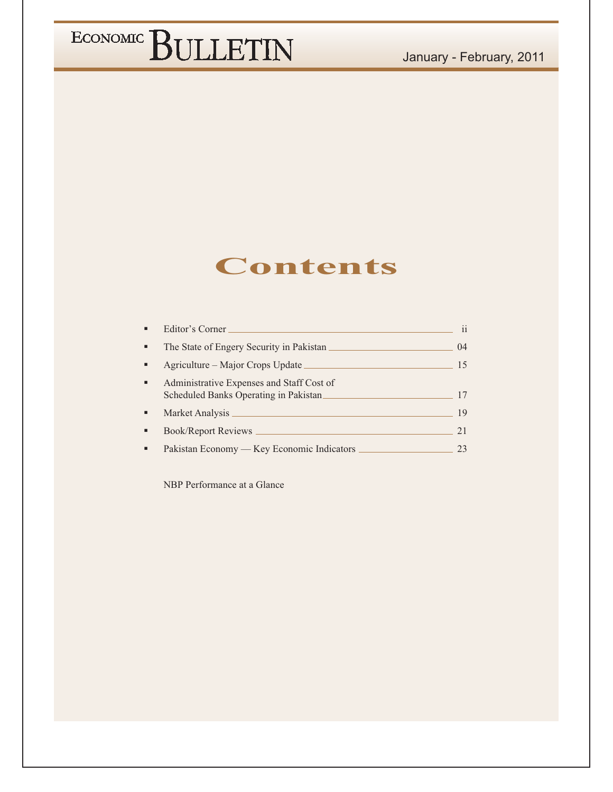### January - February, 2011

# ECONOMIC BULLETIN

### **Contents**

|   | Editor's Corner                                                                    | 11   |
|---|------------------------------------------------------------------------------------|------|
| ٠ | The State of Engery Security in Pakistan                                           | (1)4 |
| ٠ | Agriculture – Major Crops Update                                                   | 15   |
| ٠ | Administrative Expenses and Staff Cost of<br>Scheduled Banks Operating in Pakistan |      |
|   |                                                                                    | 19   |
|   | Book/Report Reviews _                                                              | 21   |
|   | Pakistan Feonomy — Key Feonomic Indicators                                         |      |

NBP Performance at a Glance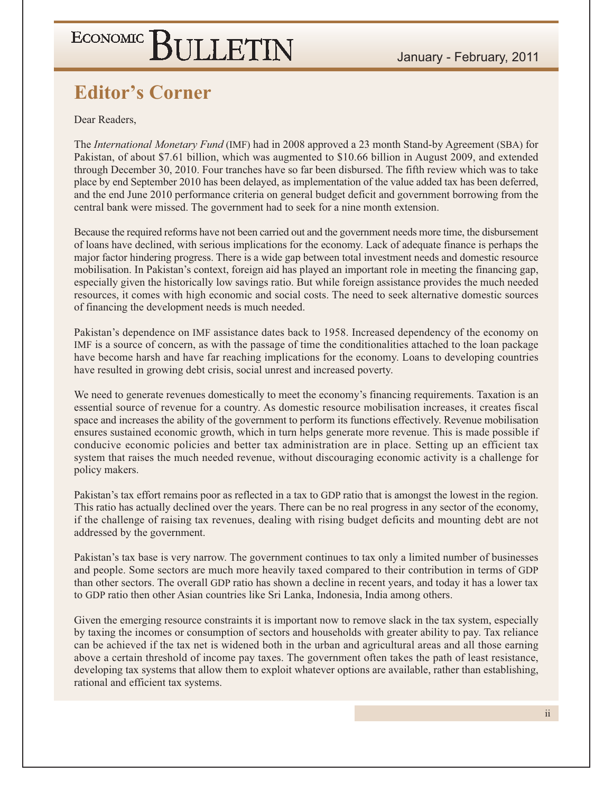### **Editor's Corner**

Dear Readers.

The *International Monetary Fund* (IMF) had in 2008 approved a 23 month Stand-by Agreement (SBA) for Pakistan, of about \$7.61 billion, which was augmented to \$10.66 billion in August 2009, and extended through December 30, 2010. Four tranches have so far been disbursed. The fifth review which was to take place by end September 2010 has been delayed, as implementation of the value added tax has been deferred, and the end June 2010 performance criteria on general budget deficit and government borrowing from the central bank were missed. The government had to seek for a nine month extension.

Because the required reforms have not been carried out and the government needs more time, the disbursement of loans have declined, with serious implications for the economy. Lack of adequate finance is perhaps the major factor hindering progress. There is a wide gap between total investment needs and domestic resource mobilisation. In Pakistan's context, foreign aid has played an important role in meeting the financing gap, especially given the historically low savings ratio. But while foreign assistance provides the much needed resources, it comes with high economic and social costs. The need to seek alternative domestic sources of financing the development needs is much needed.

Pakistan's dependence on IMF assistance dates back to 1958. Increased dependency of the economy on IMF is a source of concern, as with the passage of time the conditionalities attached to the loan package have become harsh and have far reaching implications for the economy. Loans to developing countries have resulted in growing debt crisis, social unrest and increased poverty.

We need to generate revenues domestically to meet the economy's financing requirements. Taxation is an essential source of revenue for a country. As domestic resource mobilisation increases, it creates fiscal space and increases the ability of the government to perform its functions effectively. Revenue mobilisation ensures sustained economic growth, which in turn helps generate more revenue. This is made possible if conducive economic policies and better tax administration are in place. Setting up an efficient tax system that raises the much needed revenue, without discouraging economic activity is a challenge for policy makers.

Pakistan's tax effort remains poor as reflected in a tax to GDP ratio that is amongst the lowest in the region. This ratio has actually declined over the years. There can be no real progress in any sector of the economy, if the challenge of raising tax revenues, dealing with rising budget deficits and mounting debt are not addressed by the government.

Pakistan's tax base is very narrow. The government continues to tax only a limited number of businesses and people. Some sectors are much more heavily taxed compared to their contribution in terms of GDP than other sectors. The overall GDP ratio has shown a decline in recent years, and today it has a lower tax to GDP ratio then other Asian countries like Sri Lanka, Indonesia, India among others.

Given the emerging resource constraints it is important now to remove slack in the tax system, especially by taxing the incomes or consumption of sectors and households with greater ability to pay. Tax reliance can be achieved if the tax net is widened both in the urban and agricultural areas and all those earning above a certain threshold of income pay taxes. The government often takes the path of least resistance, developing tax systems that allow them to exploit whatever options are available, rather than establishing, rational and efficient tax systems.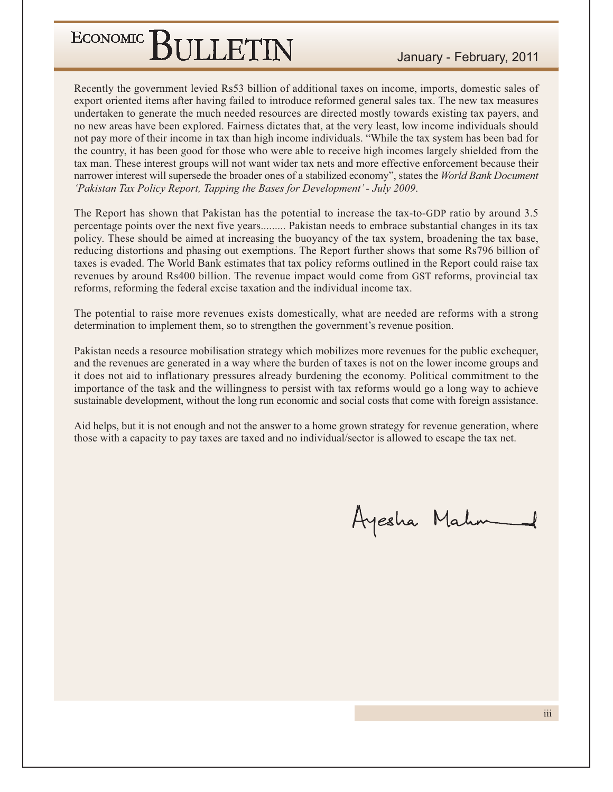Recently the government levied Rs53 billion of additional taxes on income, imports, domestic sales of export oriented items after having failed to introduce reformed general sales tax. The new tax measures undertaken to generate the much needed resources are directed mostly towards existing tax payers, and no new areas have been explored. Fairness dictates that, at the very least, low income individuals should not pay more of their income in tax than high income individuals. "While the tax system has been bad for the country, it has been good for those who were able to receive high incomes largely shielded from the tax man. These interest groups will not want wider tax nets and more effective enforcement because their narrower interest will supersede the broader ones of a stabilized economy", states the World Bank Document 'Pakistan Tax Policy Report, Tapping the Bases for Development' - July 2009.

The Report has shown that Pakistan has the potential to increase the tax-to-GDP ratio by around 3.5 percentage points over the next five years......... Pakistan needs to embrace substantial changes in its tax policy. These should be aimed at increasing the buoyancy of the tax system, broadening the tax base, reducing distortions and phasing out exemptions. The Report further shows that some Rs796 billion of taxes is evaded. The World Bank estimates that tax policy reforms outlined in the Report could raise tax revenues by around Rs400 billion. The revenue impact would come from GST reforms, provincial tax reforms, reforming the federal excise taxation and the individual income tax.

The potential to raise more revenues exists domestically, what are needed are reforms with a strong determination to implement them, so to strengthen the government's revenue position.

Pakistan needs a resource mobilisation strategy which mobilizes more revenues for the public exchequer, and the revenues are generated in a way where the burden of taxes is not on the lower income groups and it does not aid to inflationary pressures already burdening the economy. Political commitment to the importance of the task and the willingness to persist with tax reforms would go a long way to achieve sustainable development, without the long run economic and social costs that come with foreign assistance.

Aid helps, but it is not enough and not the answer to a home grown strategy for revenue generation, where those with a capacity to pay taxes are taxed and no individual/sector is allowed to escape the tax net.

Ayesha Mahm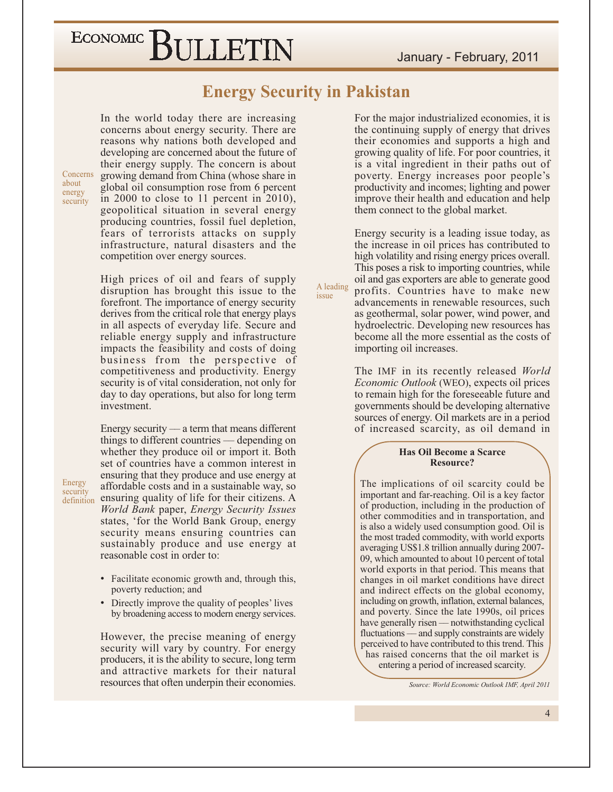January - February, 2011

## ECONOMIC BULLETIN

**Energy Security in Pakistan** 

A leading

issue

In the world today there are increasing concerns about energy security. There are reasons why nations both developed and developing are concerned about the future of their energy supply. The concern is about growing demand from China (whose share in global oil consumption rose from 6 percent in 2000 to close to 11 percent in 2010), geopolitical situation in several energy producing countries, fossil fuel depletion, fears of terrorists attacks on supply infrastructure, natural disasters and the competition over energy sources.

Concerns

about

energy

security

Energy

security

High prices of oil and fears of supply disruption has brought this issue to the forefront. The importance of energy security derives from the critical role that energy plays in all aspects of everyday life. Secure and reliable energy supply and infrastructure impacts the feasibility and costs of doing business from the perspective of competitiveness and productivity. Energy security is of vital consideration, not only for day to day operations, but also for long term investment.

Energy security  $\frac{1}{2}$  a term that means different things to different countries — depending on whether they produce oil or import it. Both set of countries have a common interest in ensuring that they produce and use energy at affordable costs and in a sustainable way, so definition ensuring quality of life for their citizens. A World Bank paper, Energy Security Issues states, 'for the World Bank Group, energy security means ensuring countries can sustainably produce and use energy at reasonable cost in order to:

- Facilitate economic growth and, through this, poverty reduction; and
- Directly improve the quality of peoples' lives by broadening access to modern energy services.

However, the precise meaning of energy security will vary by country. For energy producers, it is the ability to secure, long term and attractive markets for their natural resources that often underpin their economies.

For the major industrialized economies, it is the continuing supply of energy that drives their economies and supports a high and growing quality of life. For poor countries, it is a vital ingredient in their paths out of poverty. Energy increases poor people's productivity and incomes; lighting and power improve their health and education and help them connect to the global market.

Energy security is a leading issue today, as the increase in oil prices has contributed to high volatility and rising energy prices overall. This poses a risk to importing countries, while oil and gas exporters are able to generate good profits. Countries have to make new advancements in renewable resources, such as geothermal, solar power, wind power, and hydroelectric. Developing new resources has become all the more essential as the costs of importing oil increases.

The IMF in its recently released World *Economic Outlook* (WEO), expects oil prices to remain high for the foreseeable future and governments should be developing alternative sources of energy. Oil markets are in a period of increased scarcity, as oil demand in

#### **Has Oil Become a Scarce** Resource?

The implications of oil scarcity could be important and far-reaching. Oil is a key factor of production, including in the production of other commodities and in transportation, and is also a widely used consumption good. Oil is the most traded commodity, with world exports averaging US\$1.8 trillion annually during 2007-09, which amounted to about 10 percent of total world exports in that period. This means that changes in oil market conditions have direct and indirect effects on the global economy, including on growth, inflation, external balances, and poverty. Since the late 1990s, oil prices have generally risen — notwithstanding cyclical fluctuations - and supply constraints are widely perceived to have contributed to this trend. This has raised concerns that the oil market is entering a period of increased scarcity.

Source: World Economic Outlook IMF, April 2011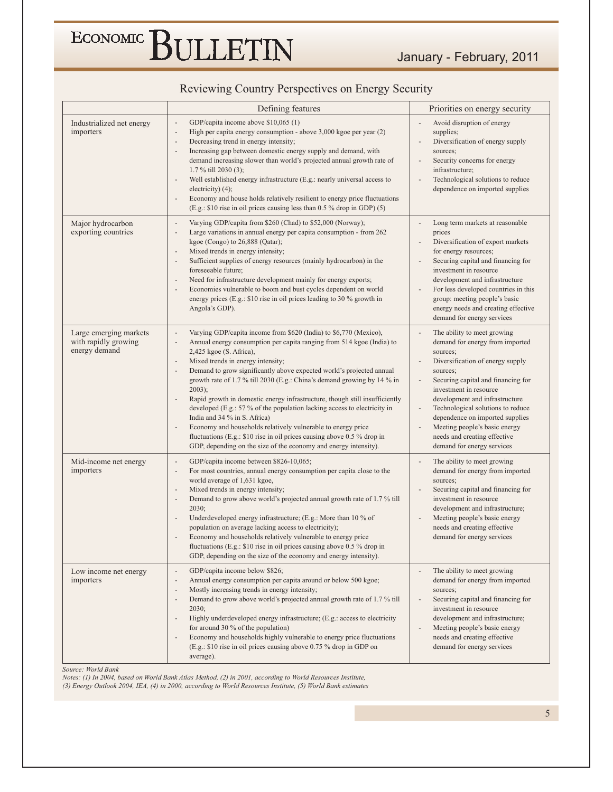### Reviewing Country Perspectives on Energy Security

|                                                                 | Defining features                                                                                                                                                                                                                                                                                                                                                                                                                                                                                                                                                                                                                                                                                                                                                                                                                                                                                                   | Priorities on energy security                                                                                                                                                                                                                                                                                                                                                                                                                                                                  |
|-----------------------------------------------------------------|---------------------------------------------------------------------------------------------------------------------------------------------------------------------------------------------------------------------------------------------------------------------------------------------------------------------------------------------------------------------------------------------------------------------------------------------------------------------------------------------------------------------------------------------------------------------------------------------------------------------------------------------------------------------------------------------------------------------------------------------------------------------------------------------------------------------------------------------------------------------------------------------------------------------|------------------------------------------------------------------------------------------------------------------------------------------------------------------------------------------------------------------------------------------------------------------------------------------------------------------------------------------------------------------------------------------------------------------------------------------------------------------------------------------------|
| Industrialized net energy<br>importers                          | GDP/capita income above \$10,065 (1)<br>High per capita energy consumption - above 3,000 kgoe per year (2)<br>$\overline{a}$<br>Decreasing trend in energy intensity;<br>$\overline{\phantom{a}}$<br>Increasing gap between domestic energy supply and demand, with<br>$\overline{\phantom{a}}$<br>demand increasing slower than world's projected annual growth rate of<br>1.7 % till 2030 (3);<br>Well established energy infrastructure (E.g.: nearly universal access to<br>$\overline{a}$<br>electricity) (4);<br>Economy and house holds relatively resilient to energy price fluctuations<br>(E.g.: \$10 rise in oil prices causing less than 0.5 % drop in GDP) (5)                                                                                                                                                                                                                                         | Avoid disruption of energy<br>supplies;<br>Diversification of energy supply<br>sources;<br>Security concerns for energy<br>infrastructure;<br>Technological solutions to reduce<br>$\blacksquare$<br>dependence on imported supplies                                                                                                                                                                                                                                                           |
| Major hydrocarbon<br>exporting countries                        | Varying GDP/capita from \$260 (Chad) to \$52,000 (Norway);<br>$\overline{\phantom{a}}$<br>Large variations in annual energy per capita consumption - from 262<br>$\overline{\phantom{a}}$<br>kgoe (Congo) to $26,888$ (Qatar);<br>Mixed trends in energy intensity;<br>$\overline{a}$<br>Sufficient supplies of energy resources (mainly hydrocarbon) in the<br>foreseeable future;<br>Need for infrastructure development mainly for energy exports;<br>Economies vulnerable to boom and bust cycles dependent on world<br>$\overline{a}$<br>energy prices (E.g.: \$10 rise in oil prices leading to 30 % growth in<br>Angola's GDP).                                                                                                                                                                                                                                                                              | Long term markets at reasonable<br>$\overline{\phantom{a}}$<br>prices<br>Diversification of export markets<br>$\frac{1}{2}$<br>for energy resources;<br>Securing capital and financing for<br>÷,<br>investment in resource<br>development and infrastructure<br>For less developed countries in this<br>$\overline{a}$<br>group: meeting people's basic<br>energy needs and creating effective<br>demand for energy services                                                                   |
| Large emerging markets<br>with rapidly growing<br>energy demand | Varying GDP/capita income from \$620 (India) to \$6,770 (Mexico),<br>$\overline{\phantom{a}}$<br>Annual energy consumption per capita ranging from 514 kgoe (India) to<br>$\overline{a}$<br>2,425 kgoe (S. Africa),<br>Mixed trends in energy intensity;<br>$\overline{a}$<br>Demand to grow significantly above expected world's projected annual<br>$\overline{\phantom{a}}$<br>growth rate of 1.7 % till 2030 (E.g.: China's demand growing by 14 % in<br>$2003$ ;<br>Rapid growth in domestic energy infrastructure, though still insufficiently<br>$\overline{a}$<br>developed (E.g.: 57 % of the population lacking access to electricity in<br>India and 34 % in S. Africa)<br>Economy and households relatively vulnerable to energy price<br>$\overline{a}$<br>fluctuations (E.g.: \$10 rise in oil prices causing above 0.5 % drop in<br>GDP, depending on the size of the economy and energy intensity). | The ability to meet growing<br>demand for energy from imported<br>sources;<br>Diversification of energy supply<br>$\overline{\phantom{a}}$<br>sources;<br>Securing capital and financing for<br>$\overline{\phantom{a}}$<br>investment in resource<br>development and infrastructure<br>Technological solutions to reduce<br>$\frac{1}{2}$<br>dependence on imported supplies<br>Meeting people's basic energy<br>$\blacksquare$<br>needs and creating effective<br>demand for energy services |
| Mid-income net energy<br>importers                              | GDP/capita income between \$826-10,065;<br>$\overline{a}$<br>For most countries, annual energy consumption per capita close to the<br>$\overline{a}$<br>world average of 1,631 kgoe,<br>Mixed trends in energy intensity;<br>$\overline{\phantom{a}}$<br>Demand to grow above world's projected annual growth rate of 1.7 % till<br>$\overline{a}$<br>2030;<br>Underdeveloped energy infrastructure; (E.g.: More than 10 % of<br>÷,<br>population on average lacking access to electricity);<br>Economy and households relatively vulnerable to energy price<br>fluctuations (E.g.: \$10 rise in oil prices causing above 0.5 % drop in<br>GDP, depending on the size of the economy and energy intensity).                                                                                                                                                                                                         | The ability to meet growing<br>demand for energy from imported<br>sources;<br>Securing capital and financing for<br>investment in resource<br>development and infrastructure;<br>Meeting people's basic energy<br>needs and creating effective<br>demand for energy services                                                                                                                                                                                                                   |
| Low income net energy<br>importers                              | GDP/capita income below \$826;<br>$\overline{\phantom{a}}$<br>Annual energy consumption per capita around or below 500 kgoe;<br>Mostly increasing trends in energy intensity;<br>$\overline{a}$<br>Demand to grow above world's projected annual growth rate of 1.7 % till<br>$\overline{a}$<br>2030;<br>Highly underdeveloped energy infrastructure; (E.g.: access to electricity<br>$\overline{a}$<br>for around 30 $%$ of the population)<br>Economy and households highly vulnerable to energy price fluctuations<br>$\overline{a}$<br>(E.g.: \$10 rise in oil prices causing above 0.75 % drop in GDP on<br>average).                                                                                                                                                                                                                                                                                          | The ability to meet growing<br>demand for energy from imported<br>sources;<br>Securing capital and financing for<br>$\blacksquare$<br>investment in resource<br>development and infrastructure;<br>Meeting people's basic energy<br>needs and creating effective<br>demand for energy services                                                                                                                                                                                                 |

Source: World Bank

Sources: (1) In 2004, based on World Bank Atlas Method, (2) in 2001, according to World Resources Institute, (3) Energy Outlook 2004, IEA, (4) in 2000, according to World Resources Institute, (3) Energy Outlook 2004, IEA,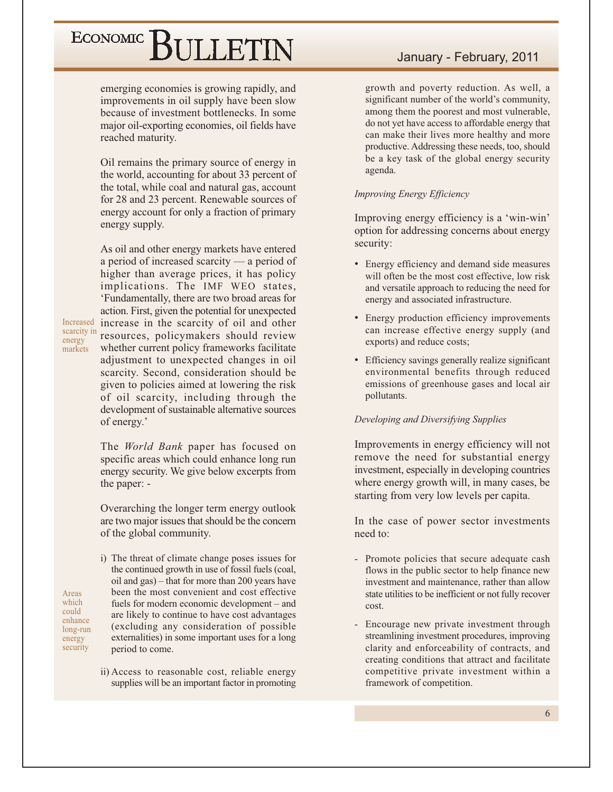emerging economies is growing rapidly, and improvements in oil supply have been slow because of investment bottlenecks. In some major oil-exporting economies, oil fields have reached maturity.

Oil remains the primary source of energy in the world, accounting for about 33 percent of the total, while coal and natural gas, account for 28 and 23 percent. Renewable sources of energy account for only a fraction of primary energy supply.

As oil and other energy markets have entered a period of increased scarcity  $-$  a period of higher than average prices, it has policy implications. The IMF WEO states, 'Fundamentally, there are two broad areas for action. First, given the potential for unexpected increase in the scarcity of oil and other resources, policymakers should review whether current policy frameworks facilitate adjustment to unexpected changes in oil scarcity. Second, consideration should be given to policies aimed at lowering the risk of oil scarcity, including through the development of sustainable alternative sources of energy.'

Increased

scarcity in

energy

Areas

which

could

enhance

long-run

energy security

markets

The World Bank paper has focused on specific areas which could enhance long run energy security. We give below excerpts from the paper: -

Overarching the longer term energy outlook are two major issues that should be the concern of the global community.

- i) The threat of climate change poses issues for the continued growth in use of fossil fuels (coal, oil and gas) – that for more than 200 years have been the most convenient and cost effective fuels for modern economic development – and are likely to continue to have cost advantages (excluding any consideration of possible externalities) in some important uses for a long period to come.
- ii) Access to reasonable cost, reliable energy supplies will be an important factor in promoting

### January - February, 2011

growth and poverty reduction. As well, a significant number of the world's community, among them the poorest and most vulnerable, do not yet have access to affordable energy that can make their lives more healthy and more productive. Addressing these needs, too, should be a key task of the global energy security agenda.

#### **Improving Energy Efficiency**

Improving energy efficiency is a 'win-win' option for addressing concerns about energy security:

- Energy efficiency and demand side measures will often be the most cost effective, low risk and versatile approach to reducing the need for energy and associated infrastructure.
- Energy production efficiency improvements can increase effective energy supply (and exports) and reduce costs;
- Efficiency savings generally realize significant environmental benefits through reduced emissions of greenhouse gases and local air pollutants.

#### Developing and Diversifying Supplies

Improvements in energy efficiency will not remove the need for substantial energy investment, especially in developing countries where energy growth will, in many cases, be starting from very low levels per capita.

In the case of power sector investments need to:

- Promote policies that secure adequate cash flows in the public sector to help finance new investment and maintenance, rather than allow state utilities to be inefficient or not fully recover cost.
- Encourage new private investment through streamlining investment procedures, improving clarity and enforceability of contracts, and creating conditions that attract and facilitate competitive private investment within a framework of competition.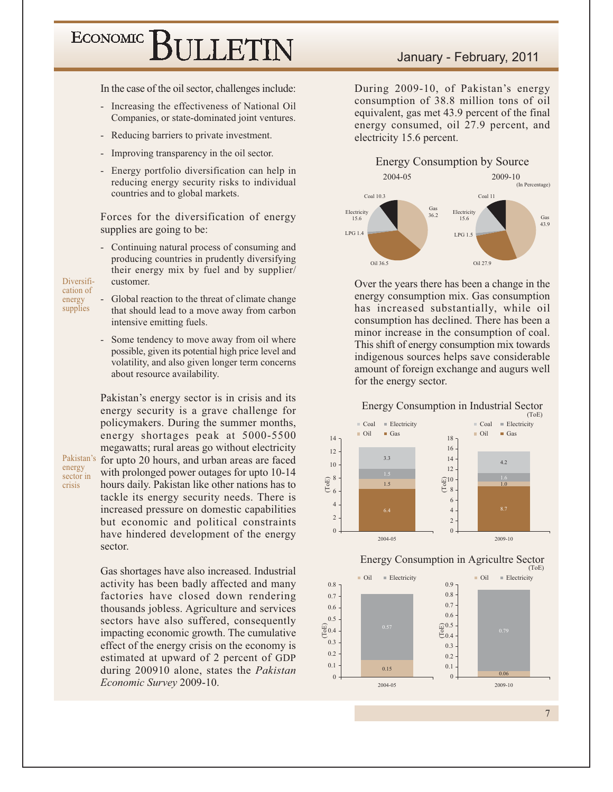In the case of the oil sector, challenges include:

- Increasing the effectiveness of National Oil  $\omega_{\rm c}$ Companies, or state-dominated joint ventures.
- Reducing barriers to private investment.
- Improving transparency in the oil sector.
- Energy portfolio diversification can help in reducing energy security risks to individual countries and to global markets.

Forces for the diversification of energy supplies are going to be:

- Continuing natural process of consuming and producing countries in prudently diversifying their energy mix by fuel and by supplier/ customer.

Diversification of energy supplies

- Global reaction to the threat of climate change that should lead to a move away from carbon intensive emitting fuels.
- Some tendency to move away from oil where possible, given its potential high price level and volatility, and also given longer term concerns about resource availability.

Pakistan's energy sector is in crisis and its energy security is a grave challenge for policymakers. During the summer months, energy shortages peak at 5000-5500 megawatts; rural areas go without electricity Pakistan's for upto 20 hours, and urban areas are faced with prolonged power outages for upto 10-14 hours daily. Pakistan like other nations has to tackle its energy security needs. There is increased pressure on domestic capabilities but economic and political constraints have hindered development of the energy sector.

energy sector in crisis

> Gas shortages have also increased. Industrial activity has been badly affected and many factories have closed down rendering thousands jobless. Agriculture and services sectors have also suffered, consequently impacting economic growth. The cumulative effect of the energy crisis on the economy is estimated at upward of 2 percent of GDP during 200910 alone, states the Pakistan Economic Survey 2009-10.

### January - February, 2011

During 2009-10, of Pakistan's energy consumption of 38.8 million tons of oil equivalent, gas met 43.9 percent of the final energy consumed, oil 27.9 percent, and electricity 15.6 percent.



Over the years there has been a change in the energy consumption mix. Gas consumption has increased substantially, while oil consumption has declined. There has been a minor increase in the consumption of coal. This shift of energy consumption mix towards indigenous sources helps save considerable amount of foreign exchange and augurs well for the energy sector.





 $0.8$ 

 $0.7\,$ 

 $0.6$ 

 $0.5$ 

 $0.3$ 

 $0.2\,$ 

 $0.1$ 

 $\Omega$ 

 $\overset{\text{\tiny{(1)}}}{\underset{\text{\tiny{D}}}{\oplus}} 0.4$ 



 $\overline{7}$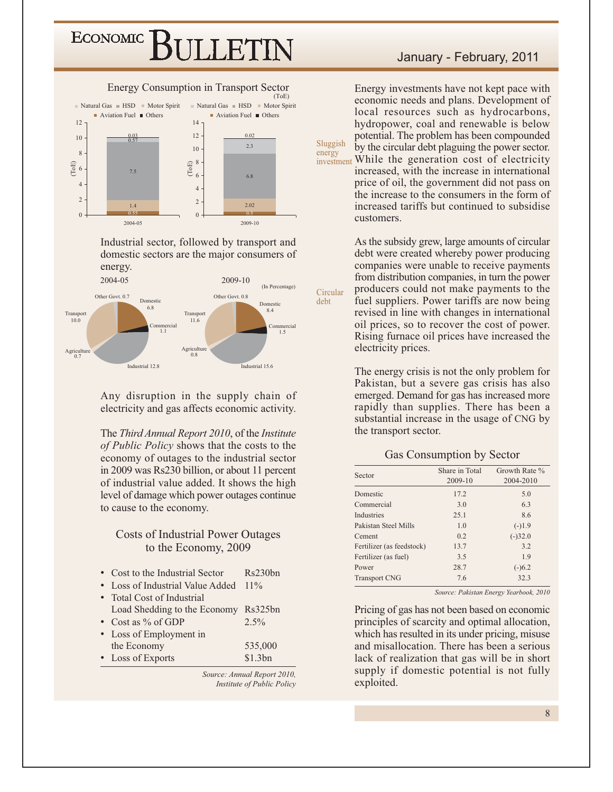



Industrial sector, followed by transport and domestic sectors are the major consumers of energy.



Any disruption in the supply chain of electricity and gas affects economic activity.

The Third Annual Report 2010, of the Institute of Public Policy shows that the costs to the economy of outages to the industrial sector in 2009 was Rs230 billion, or about 11 percent of industrial value added. It shows the high level of damage which power outages continue to cause to the economy.

### **Costs of Industrial Power Outages** to the Economy, 2009

| • Cost to the Industrial Sector      | Rs230bn |
|--------------------------------------|---------|
| • Loss of Industrial Value Added     | $11\%$  |
| • Total Cost of Industrial           |         |
| Load Shedding to the Economy Rs325bn |         |
| • Cost as $%$ of GDP                 | $2.5\%$ |
| • Loss of Employment in              |         |
| the Economy                          | 535,000 |
| • Loss of Exports                    | \$1.3bn |

Source: Annual Report 2010, Institute of Public Policy

### January - February, 2011

Energy investments have not kept pace with economic needs and plans. Development of local resources such as hydrocarbons, hydropower, coal and renewable is below potential. The problem has been compounded by the circular debt plaguing the power sector. investment While the generation cost of electricity increased, with the increase in international price of oil, the government did not pass on the increase to the consumers in the form of increased tariffs but continued to subsidise customers.

Sluggish

energy

As the subsidy grew, large amounts of circular debt were created whereby power producing companies were unable to receive payments from distribution companies, in turn the power producers could not make payments to the fuel suppliers. Power tariffs are now being revised in line with changes in international oil prices, so to recover the cost of power. Rising furnace oil prices have increased the electricity prices.

The energy crisis is not the only problem for Pakistan, but a severe gas crisis has also emerged. Demand for gas has increased more rapidly than supplies. There has been a substantial increase in the usage of CNG by the transport sector.

#### Gas Consumption by Sector

| Sector                    | Share in Total<br>2009-10 | Growth Rate %<br>2004-2010 |
|---------------------------|---------------------------|----------------------------|
| Domestic                  | 17.2                      | 5.0                        |
| Commercial                | 3.0                       | 6.3                        |
| <b>Industries</b>         | 25.1                      | 8.6                        |
| Pakistan Steel Mills      | 1.0                       | $(-)1.9$                   |
| Cement                    | 02                        | $(-)32.0$                  |
| Fertilizer (as feedstock) | 13.7                      | 3.2                        |
| Fertilizer (as fuel)      | 3.5                       | 1.9                        |
| Power                     | 28.7                      | $(-)6.2$                   |
| <b>Transport CNG</b>      | 7.6                       | 32.3                       |

Source: Pakistan Energy Yearbook, 2010

Pricing of gas has not been based on economic principles of scarcity and optimal allocation, which has resulted in its under pricing, misuse and misallocation. There has been a serious lack of realization that gas will be in short supply if domestic potential is not fully exploited.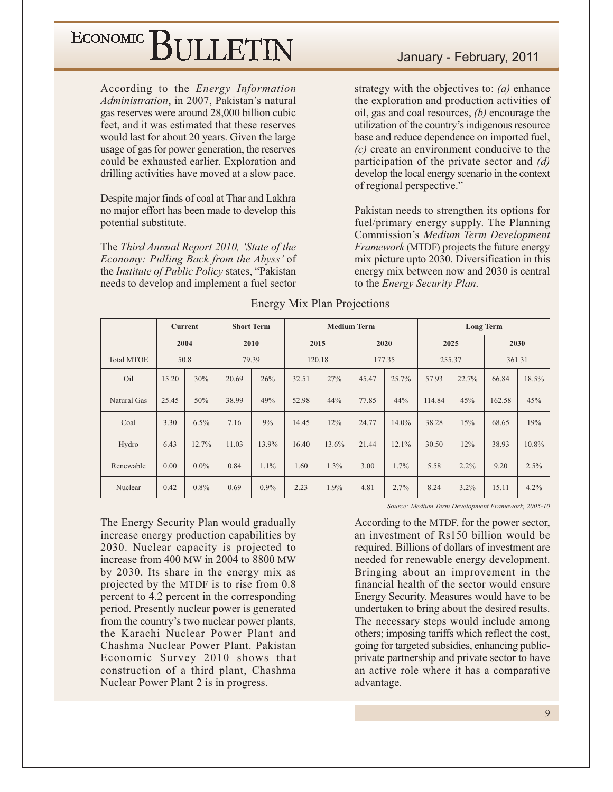According to the *Energy Information* Administration, in 2007, Pakistan's natural gas reserves were around 28,000 billion cubic feet, and it was estimated that these reserves would last for about 20 years. Given the large usage of gas for power generation, the reserves could be exhausted earlier. Exploration and drilling activities have moved at a slow pace.

Despite major finds of coal at Thar and Lakhra no major effort has been made to develop this potential substitute.

The Third Annual Report 2010, 'State of the Economy: Pulling Back from the Abyss' of the *Institute of Public Policy* states, "Pakistan needs to develop and implement a fuel sector

strategy with the objectives to:  $(a)$  enhance the exploration and production activities of oil, gas and coal resources,  $(b)$  encourage the utilization of the country's indigenous resource base and reduce dependence on imported fuel,  $(c)$  create an environment conducive to the participation of the private sector and  $(d)$ develop the local energy scenario in the context of regional perspective."

Pakistan needs to strengthen its options for fuel/primary energy supply. The Planning Commission's Medium Term Development Framework (MTDF) projects the future energy mix picture upto 2030. Diversification in this energy mix between now and 2030 is central to the Energy Security Plan.

|                           | <b>Current</b><br>2004 |         |       |         | <b>Short Term</b><br><b>Medium Term</b> |        |       |        |        | <b>Long Term</b> |        |       |  |  |
|---------------------------|------------------------|---------|-------|---------|-----------------------------------------|--------|-------|--------|--------|------------------|--------|-------|--|--|
|                           |                        |         | 2010  |         |                                         | 2015   |       | 2020   |        | 2025             | 2030   |       |  |  |
| <b>Total MTOE</b><br>50.8 |                        |         | 79.39 |         | 120.18                                  | 177.35 |       | 255.37 |        | 361.31           |        |       |  |  |
| Oil                       | 15.20                  | 30%     | 20.69 | 26%     | 32.51                                   | 27%    | 45.47 | 25.7%  | 57.93  | 22.7%            | 66.84  | 18.5% |  |  |
| Natural Gas               | 25.45                  | 50%     | 38.99 | 49%     | 52.98                                   | 44%    | 77.85 | 44%    | 114.84 | 45%              | 162.58 | 45%   |  |  |
| Coal                      | 3.30                   | 6.5%    | 7.16  | 9%      | 14.45                                   | 12%    | 24.77 | 14.0%  | 38.28  | 15%              | 68.65  | 19%   |  |  |
| Hydro                     | 6.43                   | 12.7%   | 11.03 | 13.9%   | 16.40                                   | 13.6%  | 21.44 | 12.1%  | 30.50  | 12%              | 38.93  | 10.8% |  |  |
| Renewable                 | 0.00                   | $0.0\%$ | 0.84  | 1.1%    | 1.60                                    | 1.3%   | 3.00  | 1.7%   | 5.58   | $2.2\%$          | 9.20   | 2.5%  |  |  |
| Nuclear                   | 0.42                   | $0.8\%$ | 0.69  | $0.9\%$ | 2.23                                    | 1.9%   | 4.81  | 2.7%   | 8.24   | 3.2%             | 15.11  | 4.2%  |  |  |

### **Energy Mix Plan Projections**

The Energy Security Plan would gradually increase energy production capabilities by 2030. Nuclear capacity is projected to increase from 400 MW in 2004 to 8800 MW by 2030. Its share in the energy mix as projected by the MTDF is to rise from 0.8 percent to 4.2 percent in the corresponding period. Presently nuclear power is generated from the country's two nuclear power plants, the Karachi Nuclear Power Plant and Chashma Nuclear Power Plant. Pakistan Economic Survey 2010 shows that construction of a third plant, Chashma Nuclear Power Plant 2 is in progress.

Source: Medium Term Development Framework, 2005-10

According to the MTDF, for the power sector, an investment of Rs150 billion would be required. Billions of dollars of investment are needed for renewable energy development. Bringing about an improvement in the financial health of the sector would ensure Energy Security. Measures would have to be undertaken to bring about the desired results. The necessary steps would include among others; imposing tariffs which reflect the cost, going for targeted subsidies, enhancing publicprivate partnership and private sector to have an active role where it has a comparative advantage.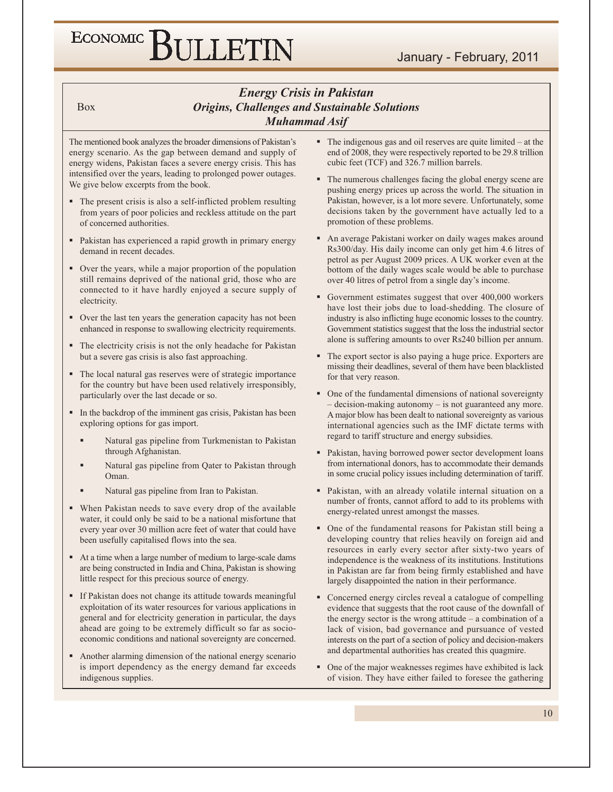### **Energy Crisis in Pakistan Origins, Challenges and Sustainable Solutions Muhammad Asif**

**Box** 

The mentioned book analyzes the broader dimensions of Pakistan's energy scenario. As the gap between demand and supply of energy widens, Pakistan faces a severe energy crisis. This has intensified over the years, leading to prolonged power outages. We give below excerpts from the book.

- The present crisis is also a self-inflicted problem resulting from years of poor policies and reckless attitude on the part of concerned authorities.
- Pakistan has experienced a rapid growth in primary energy demand in recent decades.
- Over the years, while a major proportion of the population still remains deprived of the national grid, those who are connected to it have hardly enjoyed a secure supply of electricity.
- Over the last ten years the generation capacity has not been enhanced in response to swallowing electricity requirements.
- The electricity crisis is not the only headache for Pakistan but a severe gas crisis is also fast approaching.
- The local natural gas reserves were of strategic importance for the country but have been used relatively irresponsibly, particularly over the last decade or so.
- In the backdrop of the imminent gas crisis, Pakistan has been exploring options for gas import.
	- Natural gas pipeline from Turkmenistan to Pakistan through Afghanistan.
	- Natural gas pipeline from Qater to Pakistan through Oman.
	- Natural gas pipeline from Iran to Pakistan.
- When Pakistan needs to save every drop of the available water, it could only be said to be a national misfortune that every year over 30 million acre feet of water that could have been usefully capitalised flows into the sea.
- At a time when a large number of medium to large-scale dams are being constructed in India and China, Pakistan is showing little respect for this precious source of energy.
- If Pakistan does not change its attitude towards meaningful exploitation of its water resources for various applications in general and for electricity generation in particular, the days ahead are going to be extremely difficult so far as socioeconomic conditions and national sovereignty are concerned.
- Another alarming dimension of the national energy scenario is import dependency as the energy demand far exceeds indigenous supplies.
- $\blacksquare$  The indigenous gas and oil reserves are quite limited at the end of 2008, they were respectively reported to be 29.8 trillion cubic feet (TCF) and 326.7 million barrels.
- The numerous challenges facing the global energy scene are pushing energy prices up across the world. The situation in Pakistan, however, is a lot more severe. Unfortunately, some decisions taken by the government have actually led to a promotion of these problems.
- An average Pakistani worker on daily wages makes around Rs300/day. His daily income can only get him 4.6 litres of petrol as per August 2009 prices. A UK worker even at the bottom of the daily wages scale would be able to purchase over 40 litres of petrol from a single day's income.
- Government estimates suggest that over 400,000 workers have lost their jobs due to load-shedding. The closure of industry is also inflicting huge economic losses to the country. Government statistics suggest that the loss the industrial sector alone is suffering amounts to over Rs240 billion per annum.
- The export sector is also paying a huge price. Exporters are missing their deadlines, several of them have been blacklisted for that very reason.
- One of the fundamental dimensions of national sovereignty - decision-making autonomy - is not guaranteed any more. A major blow has been dealt to national sovereignty as various international agencies such as the IMF dictate terms with regard to tariff structure and energy subsidies.
- Pakistan, having borrowed power sector development loans  $\blacksquare$ from international donors, has to accommodate their demands in some crucial policy issues including determination of tariff.
- Pakistan, with an already volatile internal situation on a number of fronts, cannot afford to add to its problems with energy-related unrest amongst the masses.
- One of the fundamental reasons for Pakistan still being a developing country that relies heavily on foreign aid and resources in early every sector after sixty-two years of independence is the weakness of its institutions. Institutions in Pakistan are far from being firmly established and have largely disappointed the nation in their performance.
- Concerned energy circles reveal a catalogue of compelling evidence that suggests that the root cause of the downfall of the energy sector is the wrong attitude  $-$  a combination of a lack of vision, bad governance and pursuance of vested interests on the part of a section of policy and decision-makers and departmental authorities has created this quagmire.
- One of the major weaknesses regimes have exhibited is lack of vision. They have either failed to foresee the gathering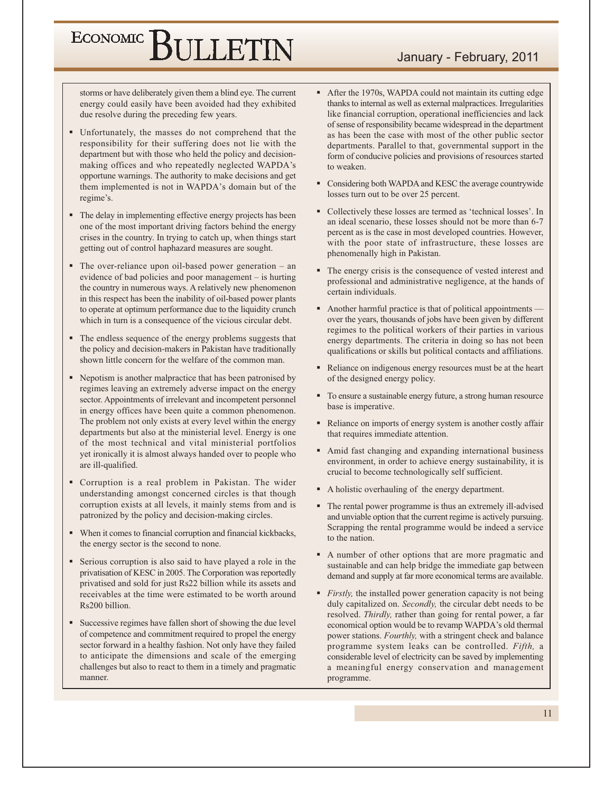storms or have deliberately given them a blind eye. The current energy could easily have been avoided had they exhibited due resolve during the preceding few years.

- Unfortunately, the masses do not comprehend that the responsibility for their suffering does not lie with the department but with those who held the policy and decisionmaking offices and who repeatedly neglected WAPDA's opportune warnings. The authority to make decisions and get them implemented is not in WAPDA's domain but of the regime's.
- The delay in implementing effective energy projects has been one of the most important driving factors behind the energy crises in the country. In trying to catch up, when things start getting out of control haphazard measures are sought.
- $\blacksquare$  The over-reliance upon oil-based power generation an evidence of bad policies and poor management – is hurting the country in numerous ways. A relatively new phenomenon in this respect has been the inability of oil-based power plants to operate at optimum performance due to the liquidity crunch which in turn is a consequence of the vicious circular debt.
- The endless sequence of the energy problems suggests that the policy and decision-makers in Pakistan have traditionally shown little concern for the welfare of the common man.
- Nepotism is another malpractice that has been patronised by regimes leaving an extremely adverse impact on the energy sector. Appointments of irrelevant and incompetent personnel in energy offices have been quite a common phenomenon. The problem not only exists at every level within the energy departments but also at the ministerial level. Energy is one of the most technical and vital ministerial portfolios yet ironically it is almost always handed over to people who are ill-qualified.
- Corruption is a real problem in Pakistan. The wider understanding amongst concerned circles is that though corruption exists at all levels, it mainly stems from and is patronized by the policy and decision-making circles.
- When it comes to financial corruption and financial kickbacks, the energy sector is the second to none.
- Serious corruption is also said to have played a role in the privatisation of KESC in 2005. The Corporation was reportedly privatised and sold for just Rs22 billion while its assets and receivables at the time were estimated to be worth around Rs200 billion.
- Successive regimes have fallen short of showing the due level of competence and commitment required to propel the energy sector forward in a healthy fashion. Not only have they failed to anticipate the dimensions and scale of the emerging challenges but also to react to them in a timely and pragmatic manner.
- After the 1970s, WAPDA could not maintain its cutting edge thanks to internal as well as external malpractices. Irregularities like financial corruption, operational inefficiencies and lack of sense of responsibility became widespread in the department as has been the case with most of the other public sector departments. Parallel to that, governmental support in the form of conducive policies and provisions of resources started to weaken.
- Considering both WAPDA and KESC the average countrywide losses turn out to be over 25 percent.
- Collectively these losses are termed as 'technical losses'. In an ideal scenario, these losses should not be more than 6-7 percent as is the case in most developed countries. However, with the poor state of infrastructure, these losses are phenomenally high in Pakistan.
- The energy crisis is the consequence of vested interest and professional and administrative negligence, at the hands of certain individuals.
- Another harmful practice is that of political appointments over the years, thousands of jobs have been given by different regimes to the political workers of their parties in various energy departments. The criteria in doing so has not been qualifications or skills but political contacts and affiliations.
- Reliance on indigenous energy resources must be at the heart of the designed energy policy.
- To ensure a sustainable energy future, a strong human resource base is imperative.
- Reliance on imports of energy system is another costly affair that requires immediate attention.
- Amid fast changing and expanding international business environment, in order to achieve energy sustainability, it is crucial to become technologically self sufficient.
- A holistic overhauling of the energy department.
- The rental power programme is thus an extremely ill-advised and unviable option that the current regime is actively pursuing. Scrapping the rental programme would be indeed a service to the nation.
- A number of other options that are more pragmatic and sustainable and can help bridge the immediate gap between demand and supply at far more economical terms are available.
- *Firstly*, the installed power generation capacity is not being duly capitalized on. Secondly, the circular debt needs to be resolved. Thirdly, rather than going for rental power, a far economical option would be to revamp WAPDA's old thermal power stations. Fourthly, with a stringent check and balance programme system leaks can be controlled. Fifth, a considerable level of electricity can be saved by implementing a meaningful energy conservation and management programme.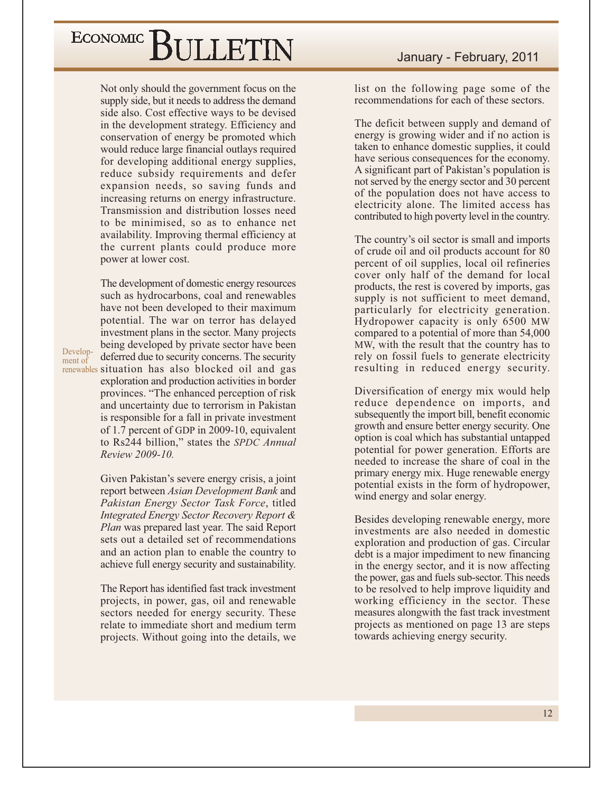Not only should the government focus on the supply side, but it needs to address the demand side also. Cost effective ways to be devised in the development strategy. Efficiency and conservation of energy be promoted which would reduce large financial outlays required for developing additional energy supplies, reduce subsidy requirements and defer expansion needs, so saving funds and increasing returns on energy infrastructure. Transmission and distribution losses need to be minimised, so as to enhance net availability. Improving thermal efficiency at the current plants could produce more power at lower cost.

The development of domestic energy resources such as hydrocarbons, coal and renewables have not been developed to their maximum potential. The war on terror has delayed investment plans in the sector. Many projects being developed by private sector have been deferred due to security concerns. The security renewables situation has also blocked oil and gas exploration and production activities in border provinces. "The enhanced perception of risk and uncertainty due to terrorism in Pakistan is responsible for a fall in private investment of 1.7 percent of GDP in 2009-10, equivalent to Rs244 billion," states the SPDC Annual Review 2009-10.

> Given Pakistan's severe energy crisis, a joint report between Asian Development Bank and Pakistan Energy Sector Task Force, titled Integrated Energy Sector Recovery Report & Plan was prepared last year. The said Report sets out a detailed set of recommendations and an action plan to enable the country to achieve full energy security and sustainability.

> The Report has identified fast track investment projects, in power, gas, oil and renewable sectors needed for energy security. These relate to immediate short and medium term projects. Without going into the details, we

list on the following page some of the recommendations for each of these sectors.

The deficit between supply and demand of energy is growing wider and if no action is taken to enhance domestic supplies, it could have serious consequences for the economy. A significant part of Pakistan's population is not served by the energy sector and 30 percent of the population does not have access to electricity alone. The limited access has contributed to high poverty level in the country.

The country's oil sector is small and imports of crude oil and oil products account for 80 percent of oil supplies, local oil refineries cover only half of the demand for local products, the rest is covered by imports, gas supply is not sufficient to meet demand, particularly for electricity generation. Hydropower capacity is only 6500 MW compared to a potential of more than 54,000 MW, with the result that the country has to rely on fossil fuels to generate electricity resulting in reduced energy security.

Diversification of energy mix would help reduce dependence on imports, and subsequently the import bill, benefit economic growth and ensure better energy security. One option is coal which has substantial untapped potential for power generation. Efforts are needed to increase the share of coal in the primary energy mix. Huge renewable energy potential exists in the form of hydropower, wind energy and solar energy.

Besides developing renewable energy, more investments are also needed in domestic exploration and production of gas. Circular debt is a major impediment to new financing in the energy sector, and it is now affecting the power, gas and fuels sub-sector. This needs to be resolved to help improve liquidity and working efficiency in the sector. These measures alongwith the fast track investment projects as mentioned on page 13 are steps towards achieving energy security.

Development of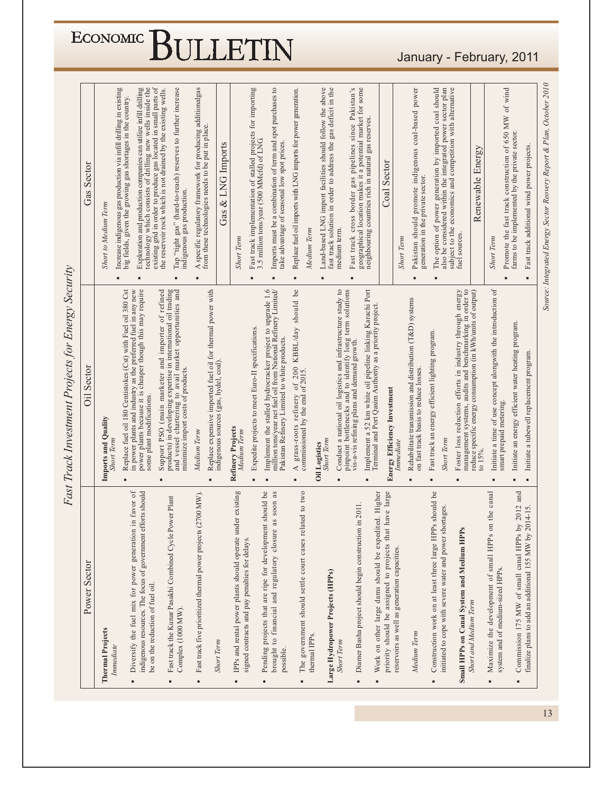### January - February, 2011

| Power Sector                                                                                                                                                | <b>Oil Sector</b><br>Imports and Quality                                                                                                                                                                                                      | <b>Short to Medium Term</b>    | Sector<br>Gas                                                                                                                                                                                                                                                       |  |
|-------------------------------------------------------------------------------------------------------------------------------------------------------------|-----------------------------------------------------------------------------------------------------------------------------------------------------------------------------------------------------------------------------------------------|--------------------------------|---------------------------------------------------------------------------------------------------------------------------------------------------------------------------------------------------------------------------------------------------------------------|--|
| Diversify the fuel mix for power generation in favor of<br>indigenous resources. The focus of government efforts should<br>be on the reduction of fuel oil. | Replace fuel oil 180 Centistokes (Cst) with Fuel oil 380 Cst<br>in power plants and industry as the preferred fuel in any new<br>power plants because it is cheaper though this may require<br>some plant modifications.<br><b>Short Term</b> |                                | Increase indigenous gas production via infill drilling in existing<br>Exploration and production companies can utilize infill drilling<br>technology which consists of drilling new wells inside the<br>big fields, given the growing gas shortages in the country. |  |
| Power Plant<br>Fast track the Kunar Pasakhi Combined Cycle                                                                                                  | Support PSO (main marketer and importer of refined<br>products) in developing expertise in international oil trading<br>and vessel chartering to avail market opportunities and<br>minimize import costs of products.                         | indigenous gas production<br>п | existing grid in order to produce gas located in small parts of<br>the reservoir rock which is not drained by the existing wells.<br>Tap "tight gas" (hard-to-reach) reserves to further increase                                                                   |  |
| Fast track five prioritized thermal power projects (2700 MW).                                                                                               | Replace expensive imported fuel oil for thermal power with<br>Medium Term                                                                                                                                                                     |                                | A specific regulatory framework for producing additionalgas<br>from these technologies needs to be put in place.                                                                                                                                                    |  |
|                                                                                                                                                             | indigenous sources (gas, hydel, coal).                                                                                                                                                                                                        |                                | Gas & LNG Imports                                                                                                                                                                                                                                                   |  |
| IPPs and rental power plants should operate under existing<br>signed contracts and pay penalties for delays.                                                | Refinery Projects<br>Medium Term                                                                                                                                                                                                              | <b>Short Term</b>              | Fast track implementation of stalled projects for importing                                                                                                                                                                                                         |  |
| Pending projects that are ripe for development should be<br>as soon as<br>brought to financial and regulatory closure                                       | Implement the stalled hydrocracker project to upgrade 1.6<br>million tons/year net fuel oil from National Refinery Limited/<br>Expedite projects to meet Euro-II specifications.<br>Pakistan Refinery Limited to white products.              |                                | Imports must be a combination of term and spot purchases to<br>3.5 million tons/year (500 MMcfd) of LNG<br>take advantage of seasonal low spot prices.                                                                                                              |  |
| The government should settle court cases related to two                                                                                                     | KBBL/day should be<br>A grass-roots refinery of 200<br>commissioned by the end of 2015.                                                                                                                                                       | Medium Term<br>٠               | Replace fuel oil imports with LNG imports for power generation.                                                                                                                                                                                                     |  |
| Large Hydropower Projects (HPPs)                                                                                                                            | Conduct a national oil logistics and infrastructure study to<br>pinpoint bottlenecks and to identify long term solutions<br><b>Short Term</b><br><b>Oil Logistics</b>                                                                         | medium term.                   | Land-based LNG import facilities should follow the above<br>fast track solution in order to address the gas deficit in the                                                                                                                                          |  |
| in 2011<br>Diamer Basha project should begin construction                                                                                                   | Implement a 52 km white oil pipeline linking Karachi Port<br>Terminal and Port Qasim Authority as a priority project.<br>vis-a-vis refining plans and demand growth.                                                                          |                                | Fast track cross border gas pipelines since Pakistan's<br>geographical location makes it a potential market for some<br>neighbouring countries rich in natural gas reserves.                                                                                        |  |
| priority should be assigned to projects that have large<br>Work on other large dams should be expedited. Higher                                             | <b>Energy Efficiency Investment</b>                                                                                                                                                                                                           |                                | Coal Sector                                                                                                                                                                                                                                                         |  |
| reservoirs as well as generation capacities.                                                                                                                | Immediate                                                                                                                                                                                                                                     | <b>Short Term</b>              |                                                                                                                                                                                                                                                                     |  |
|                                                                                                                                                             | Rehabilitate transmission and distribution (T&D) systems<br>on fast track basis to reduce losses.                                                                                                                                             |                                | Pakistan should promote indigenous coal-based power<br>generation in the private sector.                                                                                                                                                                            |  |
| Construction work on at least three large HPPs should be<br>initiated to cope with severe water and power shortages.                                        | Fast track an energy efficient lighting program.<br><b>Short Term</b>                                                                                                                                                                         |                                | The option of power generation by imported coal should<br>also be considered within the integrated power sector plan<br>subject to the economics and competition with alternative                                                                                   |  |
| Small HPPs on Canal System and Medium HPPs                                                                                                                  | Foster loss reduction efforts in industry through energy<br>management systems, audits and benchmarking in order to<br>reduce specific energy consumption (in kWh/units of output)                                                            | sources<br>fuel                |                                                                                                                                                                                                                                                                     |  |
| <b>Short and Medium Term</b>                                                                                                                                | to $15\%$ .                                                                                                                                                                                                                                   |                                | Renewable Energy                                                                                                                                                                                                                                                    |  |
| on the canal<br>Maximize the development of small HPPs<br>system and of medium-sized HPPs.                                                                  | Initiate a time of use concept alongwith the introduction of<br>smart prepaid metering.                                                                                                                                                       | <b>Short Term</b>              |                                                                                                                                                                                                                                                                     |  |
| by 2012 and<br>Commission 175 MW of small canal HPPs                                                                                                        | Initiate an energy efficient water heating program                                                                                                                                                                                            |                                | Promote the fast track construction of 650 MW of wind<br>farms to be implemented by the private sector.                                                                                                                                                             |  |
| 2014-15.<br>finalize plans to add an additional 155 MW by                                                                                                   | Initiate a tubewell replacement program.                                                                                                                                                                                                      |                                | Fast track additional wind power projects.                                                                                                                                                                                                                          |  |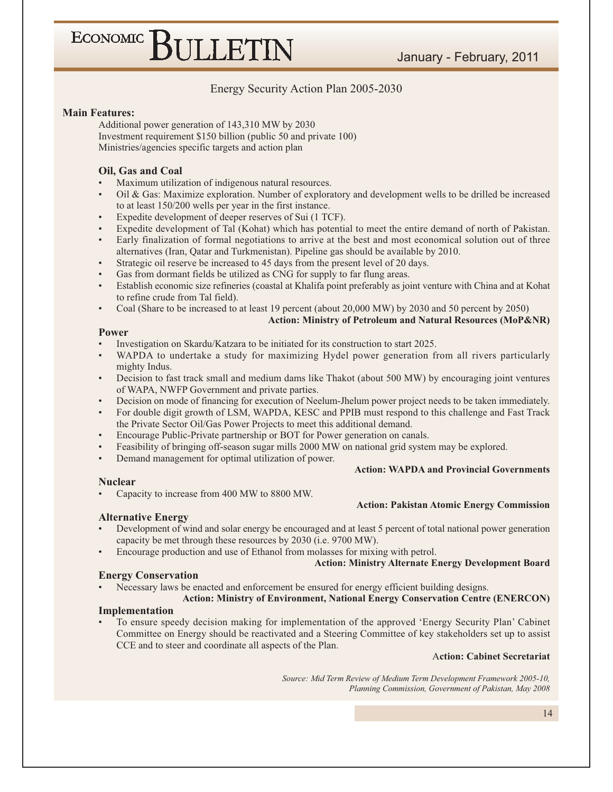### Energy Security Action Plan 2005-2030

#### **Main Features:**

Additional power generation of 143,310 MW by 2030 Investment requirement \$150 billion (public 50 and private 100) Ministries/agencies specific targets and action plan

#### Oil, Gas and Coal

Maximum utilization of indigenous natural resources.

ECONOMIC BULLETIN

- Oil & Gas: Maximize exploration. Number of exploratory and development wells to be drilled be increased to at least 150/200 wells per year in the first instance.
- Expedite development of deeper reserves of Sui (1 TCF).
- Expedite development of Tal (Kohat) which has potential to meet the entire demand of north of Pakistan.
- Early finalization of formal negotiations to arrive at the best and most economical solution out of three alternatives (Iran, Qatar and Turkmenistan). Pipeline gas should be available by 2010.
- Strategic oil reserve be increased to 45 days from the present level of 20 days.
- Gas from dormant fields be utilized as CNG for supply to far flung areas.
- Establish economic size refineries (coastal at Khalifa point preferably as joint venture with China and at Kohat to refine crude from Tal field).
- Coal (Share to be increased to at least 19 percent (about 20,000 MW) by 2030 and 50 percent by 2050)

#### **Action: Ministry of Petroleum and Natural Resources (MoP&NR)**

#### **Power**

- Investigation on Skardu/Katzara to be initiated for its construction to start 2025.
- WAPDA to undertake a study for maximizing Hydel power generation from all rivers particularly mighty Indus.
- Decision to fast track small and medium dams like Thakot (about 500 MW) by encouraging joint ventures of WAPA, NWFP Government and private parties.
- Decision on mode of financing for execution of Neelum-Jhelum power project needs to be taken immediately.
- For double digit growth of LSM, WAPDA, KESC and PPIB must respond to this challenge and Fast Track the Private Sector Oil/Gas Power Projects to meet this additional demand.
- Encourage Public-Private partnership or BOT for Power generation on canals.
- Feasibility of bringing off-season sugar mills 2000 MW on national grid system may be explored.
- Demand management for optimal utilization of power.

#### **Action: WAPDA and Provincial Governments**

**Action: Pakistan Atomic Energy Commission** 

#### **Nuclear**

Capacity to increase from 400 MW to 8800 MW.

#### **Alternative Energy**

- Development of wind and solar energy be encouraged and at least 5 percent of total national power generation capacity be met through these resources by 2030 (i.e. 9700 MW).
- Encourage production and use of Ethanol from molasses for mixing with petrol.

#### **Action: Ministry Alternate Energy Development Board**

#### **Energy Conservation**

Necessary laws be enacted and enforcement be ensured for energy efficient building designs.

### **Action: Ministry of Environment, National Energy Conservation Centre (ENERCON)**

#### Implementation

To ensure speedy decision making for implementation of the approved 'Energy Security Plan' Cabinet Committee on Energy should be reactivated and a Steering Committee of key stakeholders set up to assist CCE and to steer and coordinate all aspects of the Plan.

#### **Action: Cabinet Secretariat**

Source: Mid Term Review of Medium Term Development Framework 2005-10, Planning Commission, Government of Pakistan, May 2008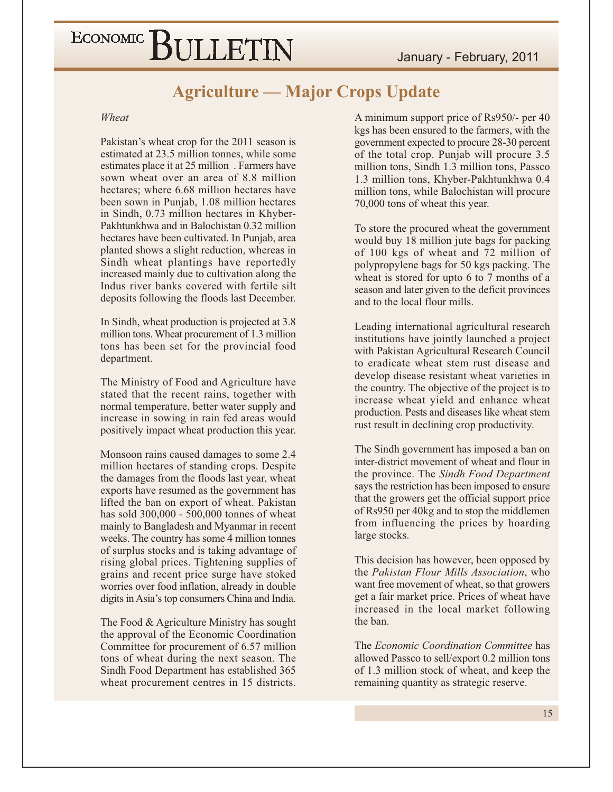### **Agriculture — Major Crops Update**

#### Wheat

Pakistan's wheat crop for the 2011 season is estimated at 23.5 million tonnes, while some estimates place it at 25 million. Farmers have sown wheat over an area of 8.8 million hectares: where 6.68 million hectares have been sown in Punjab, 1.08 million hectares in Sindh, 0.73 million hectares in Khyber-Pakhtunkhwa and in Balochistan 0.32 million hectares have been cultivated. In Puniab, area planted shows a slight reduction, whereas in Sindh wheat plantings have reportedly increased mainly due to cultivation along the Indus river banks covered with fertile silt deposits following the floods last December.

In Sindh, wheat production is projected at 3.8 million tons. Wheat procurement of 1.3 million tons has been set for the provincial food department.

The Ministry of Food and Agriculture have stated that the recent rains, together with normal temperature, better water supply and increase in sowing in rain fed areas would positively impact wheat production this year.

Monsoon rains caused damages to some 2.4 million hectares of standing crops. Despite the damages from the floods last year, wheat exports have resumed as the government has lifted the ban on export of wheat. Pakistan has sold 300,000 - 500,000 tonnes of wheat mainly to Bangladesh and Myanmar in recent weeks. The country has some 4 million tonnes of surplus stocks and is taking advantage of rising global prices. Tightening supplies of grains and recent price surge have stoked worries over food inflation, already in double digits in Asia's top consumers China and India.

The Food & Agriculture Ministry has sought the approval of the Economic Coordination Committee for procurement of 6.57 million tons of wheat during the next season. The Sindh Food Department has established 365 wheat procurement centres in 15 districts. A minimum support price of Rs950/- per 40 kgs has been ensured to the farmers, with the government expected to procure 28-30 percent of the total crop. Punjab will procure 3.5 million tons, Sindh 1.3 million tons, Passco 1.3 million tons, Khyber-Pakhtunkhwa 0.4 million tons, while Balochistan will procure 70,000 tons of wheat this year.

To store the procured wheat the government would buy 18 million jute bags for packing of 100 kgs of wheat and 72 million of polypropylene bags for 50 kgs packing. The wheat is stored for upto 6 to 7 months of a season and later given to the deficit provinces and to the local flour mills.

Leading international agricultural research institutions have jointly launched a project with Pakistan Agricultural Research Council to eradicate wheat stem rust disease and develop disease resistant wheat varieties in the country. The objective of the project is to increase wheat yield and enhance wheat production. Pests and diseases like wheat stem rust result in declining crop productivity.

The Sindh government has imposed a ban on inter-district movement of wheat and flour in the province. The Sindh Food Department says the restriction has been imposed to ensure that the growers get the official support price of Rs950 per 40kg and to stop the middlemen from influencing the prices by hoarding large stocks.

This decision has however, been opposed by the Pakistan Flour Mills Association, who want free movement of wheat, so that growers get a fair market price. Prices of wheat have increased in the local market following the ban.

The Economic Coordination Committee has allowed Passco to sell/export 0.2 million tons of 1.3 million stock of wheat, and keep the remaining quantity as strategic reserve.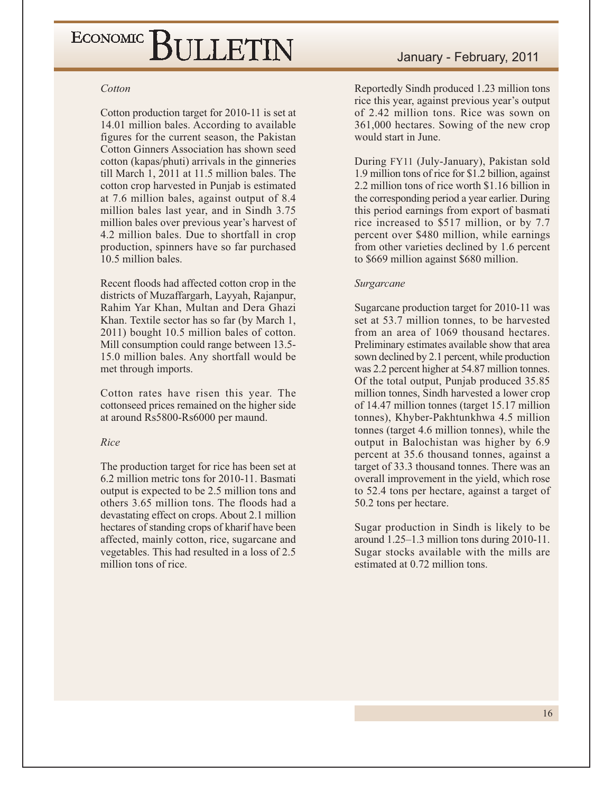#### Cotton

Cotton production target for 2010-11 is set at 14.01 million bales. According to available figures for the current season, the Pakistan Cotton Ginners Association has shown seed cotton (kapas/phuti) arrivals in the ginneries till March 1, 2011 at 11.5 million bales. The cotton crop harvested in Punjab is estimated at 7.6 million bales, against output of 8.4 million bales last year, and in Sindh 3.75 million bales over previous year's harvest of 4.2 million bales. Due to shortfall in crop production, spinners have so far purchased 10.5 million bales.

Recent floods had affected cotton crop in the districts of Muzaffargarh, Layyah, Rajanpur, Rahim Yar Khan, Multan and Dera Ghazi Khan. Textile sector has so far (by March 1, 2011) bought 10.5 million bales of cotton. Mill consumption could range between 13.5-15.0 million bales. Any shortfall would be met through imports.

Cotton rates have risen this year. The cottonseed prices remained on the higher side at around Rs5800-Rs6000 per maund.

### Rice

The production target for rice has been set at 6.2 million metric tons for 2010-11. Basmati output is expected to be 2.5 million tons and others 3.65 million tons. The floods had a devastating effect on crops. About 2.1 million hectares of standing crops of kharif have been affected, mainly cotton, rice, sugarcane and vegetables. This had resulted in a loss of 2.5 million tons of rice.

Reportedly Sindh produced 1.23 million tons rice this year, against previous year's output of 2.42 million tons. Rice was sown on 361,000 hectares. Sowing of the new crop would start in June.

During FY11 (July-January), Pakistan sold 1.9 million tons of rice for \$1.2 billion, against 2.2 million tons of rice worth \$1.16 billion in the corresponding period a year earlier. During this period earnings from export of basmati rice increased to \$517 million, or by 7.7 percent over \$480 million, while earnings from other varieties declined by 1.6 percent to \$669 million against \$680 million.

### Surgarcane

Sugarcane production target for 2010-11 was set at 53.7 million tonnes, to be harvested from an area of 1069 thousand hectares. Preliminary estimates available show that area sown declined by 2.1 percent, while production was 2.2 percent higher at 54.87 million tonnes. Of the total output, Punjab produced 35.85 million tonnes, Sindh harvested a lower crop of 14.47 million tonnes (target 15.17 million tonnes), Khyber-Pakhtunkhwa 4.5 million tonnes (target 4.6 million tonnes), while the output in Balochistan was higher by 6.9 percent at 35.6 thousand tonnes, against a target of 33.3 thousand tonnes. There was an overall improvement in the yield, which rose to 52.4 tons per hectare, against a target of 50.2 tons per hectare.

Sugar production in Sindh is likely to be around  $1.25-1.3$  million tons during  $2010-11$ . Sugar stocks available with the mills are estimated at 0.72 million tons.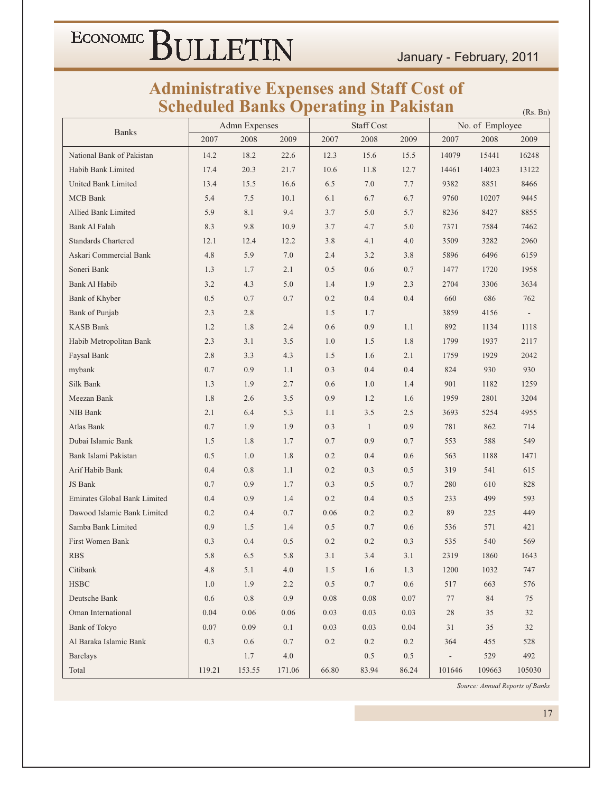January - February, 2011

## **Administrative Expenses and Staff Cost of<br>Scheduled Banks Operating in Pakistan**

|                                     | Scheduled Banks Operating |                      |          |       |                   | <u>Pakistan</u> |                          |                 | (Rs. Bn)                 |
|-------------------------------------|---------------------------|----------------------|----------|-------|-------------------|-----------------|--------------------------|-----------------|--------------------------|
| <b>Banks</b>                        |                           | <b>Admn</b> Expenses |          |       | <b>Staff Cost</b> |                 |                          | No. of Employee |                          |
|                                     | 2007                      | 2008                 | 2009     | 2007  | 2008              | 2009            | 2007                     | 2008            | 2009                     |
| National Bank of Pakistan           | 14.2                      | 18.2                 | 22.6     | 12.3  | 15.6              | 15.5            | 14079                    | 15441           | 16248                    |
| Habib Bank Limited                  | 17.4                      | 20.3                 | 21.7     | 10.6  | 11.8              | 12.7            | 14461                    | 14023           | 13122                    |
| <b>United Bank Limited</b>          | 13.4                      | 15.5                 | 16.6     | 6.5   | 7.0               | 7.7             | 9382                     | 8851            | 8466                     |
| <b>MCB</b> Bank                     | 5.4                       | 7.5                  | 10.1     | 6.1   | 6.7               | 6.7             | 9760                     | 10207           | 9445                     |
| Allied Bank Limited                 | 5.9                       | 8.1                  | 9.4      | 3.7   | 5.0               | 5.7             | 8236                     | 8427            | 8855                     |
| Bank Al Falah                       | 8.3                       | 9.8                  | 10.9     | 3.7   | 4.7               | 5.0             | 7371                     | 7584            | 7462                     |
| <b>Standards Chartered</b>          | 12.1                      | 12.4                 | 12.2     | 3.8   | 4.1               | 4.0             | 3509                     | 3282            | 2960                     |
| Askari Commercial Bank              | 4.8                       | 5.9                  | 7.0      | 2.4   | 3.2               | 3.8             | 5896                     | 6496            | 6159                     |
| Soneri Bank                         | 1.3                       | 1.7                  | 2.1      | 0.5   | 0.6               | 0.7             | 1477                     | 1720            | 1958                     |
| Bank Al Habib                       | 3.2                       | 4.3                  | 5.0      | 1.4   | 1.9               | 2.3             | 2704                     | 3306            | 3634                     |
| Bank of Khyber                      | 0.5                       | 0.7                  | 0.7      | 0.2   | 0.4               | 0.4             | 660                      | 686             | 762                      |
| Bank of Punjab                      | 2.3                       | 2.8                  |          | 1.5   | 1.7               |                 | 3859                     | 4156            | $\overline{\phantom{a}}$ |
| <b>KASB Bank</b>                    | 1.2                       | 1.8                  | 2.4      | 0.6   | 0.9               | 1.1             | 892                      | 1134            | 1118                     |
| Habib Metropolitan Bank             | 2.3                       | 3.1                  | 3.5      | 1.0   | 1.5               | 1.8             | 1799                     | 1937            | 2117                     |
| Faysal Bank                         | 2.8                       | 3.3                  | 4.3      | 1.5   | 1.6               | 2.1             | 1759                     | 1929            | 2042                     |
| mybank                              | 0.7                       | 0.9                  | 1.1      | 0.3   | 0.4               | 0.4             | 824                      | 930             | 930                      |
| Silk Bank                           | 1.3                       | 1.9                  | 2.7      | 0.6   | 1.0               | 1.4             | 901                      | 1182            | 1259                     |
| Meezan Bank                         | 1.8                       | 2.6                  | 3.5      | 0.9   | 1.2               | 1.6             | 1959                     | 2801            | 3204                     |
| NIB Bank                            | 2.1                       | 6.4                  | 5.3      | 1.1   | 3.5               | 2.5             | 3693                     | 5254            | 4955                     |
| Atlas Bank                          | 0.7                       | 1.9                  | 1.9      | 0.3   | $\mathbf{1}$      | 0.9             | 781                      | 862             | 714                      |
| Dubai Islamic Bank                  | 1.5                       | 1.8                  | 1.7      | 0.7   | 0.9               | 0.7             | 553                      | 588             | 549                      |
| Bank Islami Pakistan                | 0.5                       | 1.0                  | 1.8      | 0.2   | 0.4               | 0.6             | 563                      | 1188            | 1471                     |
| Arif Habib Bank                     | 0.4                       | $0.8\,$              | 1.1      | 0.2   | 0.3               | 0.5             | 319                      | 541             | 615                      |
| JS Bank                             | 0.7                       | 0.9                  | 1.7      | 0.3   | 0.5               | 0.7             | 280                      | 610             | 828                      |
| <b>Emirates Global Bank Limited</b> | 0.4                       | 0.9                  | 1.4      | 0.2   | 0.4               | 0.5             | 233                      | 499             | 593                      |
| Dawood Islamic Bank Limited         | 0.2                       | 0.4                  | 0.7      | 0.06  | 0.2               | 0.2             | 89                       | 225             | 449                      |
| Samba Bank Limited                  | 0.9                       | 1.5                  | 1.4      | 0.5   | 0.7               | 0.6             | 536                      | 571             | 421                      |
| <b>First Women Bank</b>             | 0.3                       | 0.4                  | 0.5      | 0.2   | 0.2               | 0.3             | 535                      | 540             | 569                      |
| $\operatorname{RBS}$                | $5.8\,$                   | $6.5\,$              | $5.8\,$  | 3.1   | 3.4               | 3.1             | 2319                     | 1860            | 1643                     |
| Citibank                            | 4.8                       | $5.1\,$              | 4.0      | 1.5   | 1.6               | 1.3             | 1200                     | 1032            | 747                      |
| $_{\rm HSBC}$                       | 1.0                       | 1.9                  | 2.2      | 0.5   | 0.7               | 0.6             | 517                      | 663             | 576                      |
| Deutsche Bank                       | $0.6\,$                   | $0.8\,$              | 0.9      | 0.08  | 0.08              | 0.07            | 77                       | 84              | 75                       |
| Oman International                  | 0.04                      | 0.06                 | $0.06\,$ | 0.03  | 0.03              | 0.03            | 28                       | 35              | 32                       |
| Bank of Tokyo                       | 0.07                      | 0.09                 | $0.1\,$  | 0.03  | 0.03              | 0.04            | 31                       | 35              | 32                       |
| Al Baraka Islamic Bank              | 0.3                       | 0.6                  | $0.7\,$  | 0.2   | $0.2\,$           | 0.2             | 364                      | 455             | 528                      |
| <b>Barclays</b>                     |                           | 1.7                  | 4.0      |       | $0.5\,$           | 0.5             | $\overline{\phantom{0}}$ | 529             | 492                      |
| Total                               | 119.21                    | 153.55               | 171.06   | 66.80 | 83.94             | 86.24           | 101646                   | 109663          | 105030                   |

Source: Annual Reports of Banks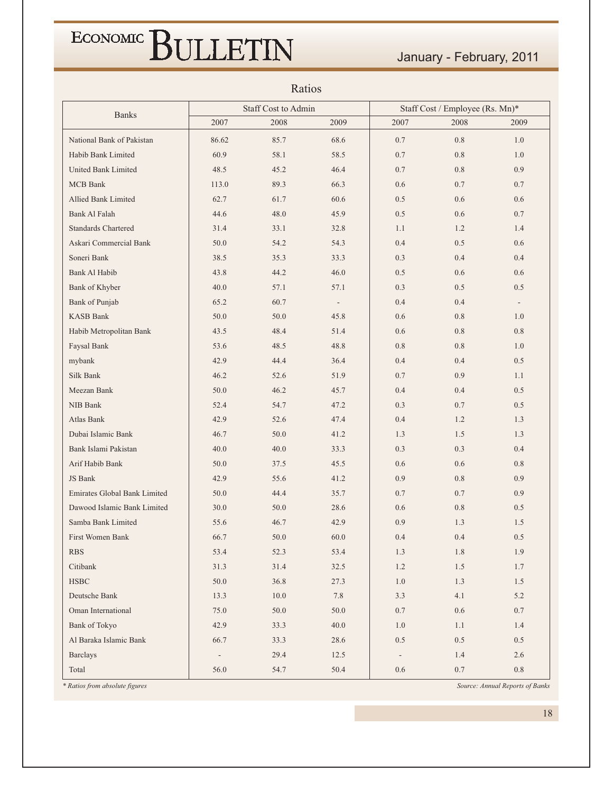January - February, 2011

| Ratios                              |                          |                     |                          |                                 |         |         |  |  |
|-------------------------------------|--------------------------|---------------------|--------------------------|---------------------------------|---------|---------|--|--|
| <b>Banks</b>                        |                          | Staff Cost to Admin |                          | Staff Cost / Employee (Rs. Mn)* |         |         |  |  |
|                                     | 2007                     | 2008                | 2009                     | 2007                            | 2008    | 2009    |  |  |
| National Bank of Pakistan           | 86.62                    | 85.7                | 68.6                     | 0.7                             | 0.8     | 1.0     |  |  |
| Habib Bank Limited                  | 60.9                     | 58.1                | 58.5                     | 0.7                             | 0.8     | 1.0     |  |  |
| United Bank Limited                 | 48.5                     | 45.2                | 46.4                     | 0.7                             | 0.8     | 0.9     |  |  |
| MCB Bank                            | 113.0                    | 89.3                | 66.3                     | 0.6                             | 0.7     | 0.7     |  |  |
| <b>Allied Bank Limited</b>          | 62.7                     | 61.7                | 60.6                     | 0.5                             | 0.6     | 0.6     |  |  |
| Bank Al Falah                       | 44.6                     | 48.0                | 45.9                     | 0.5                             | 0.6     | 0.7     |  |  |
| <b>Standards Chartered</b>          | 31.4                     | 33.1                | 32.8                     | 1.1                             | 1.2     | 1.4     |  |  |
| Askari Commercial Bank              | 50.0                     | 54.2                | 54.3                     | 0.4                             | 0.5     | 0.6     |  |  |
| Soneri Bank                         | 38.5                     | 35.3                | 33.3                     | 0.3                             | 0.4     | 0.4     |  |  |
| Bank Al Habib                       | 43.8                     | 44.2                | 46.0                     | 0.5                             | 0.6     | 0.6     |  |  |
| Bank of Khyber                      | 40.0                     | 57.1                | 57.1                     | 0.3                             | 0.5     | 0.5     |  |  |
| Bank of Punjab                      | 65.2                     | 60.7                | $\overline{\phantom{a}}$ | 0.4                             | 0.4     | $\sim$  |  |  |
| <b>KASB Bank</b>                    | 50.0                     | 50.0                | 45.8                     | 0.6                             | 0.8     | 1.0     |  |  |
| Habib Metropolitan Bank             | 43.5                     | 48.4                | 51.4                     | 0.6                             | $0.8\,$ | 0.8     |  |  |
| Faysal Bank                         | 53.6                     | 48.5                | 48.8                     | 0.8                             | 0.8     | 1.0     |  |  |
| mybank                              | 42.9                     | 44.4                | 36.4                     | 0.4                             | 0.4     | 0.5     |  |  |
| Silk Bank                           | 46.2                     | 52.6                | 51.9                     | 0.7                             | 0.9     | 1.1     |  |  |
| Meezan Bank                         | 50.0                     | 46.2                | 45.7                     | 0.4                             | 0.4     | 0.5     |  |  |
| NIB Bank                            | 52.4                     | 54.7                | 47.2                     | 0.3                             | 0.7     | 0.5     |  |  |
| Atlas Bank                          | 42.9                     | 52.6                | 47.4                     | 0.4                             | 1.2     | 1.3     |  |  |
| Dubai Islamic Bank                  | 46.7                     | 50.0                | 41.2                     | 1.3                             | 1.5     | 1.3     |  |  |
| Bank Islami Pakistan                | 40.0                     | 40.0                | 33.3                     | 0.3                             | 0.3     | 0.4     |  |  |
| Arif Habib Bank                     | 50.0                     | 37.5                | 45.5                     | 0.6                             | 0.6     | 0.8     |  |  |
| JS Bank                             | 42.9                     | 55.6                | 41.2                     | 0.9                             | 0.8     | 0.9     |  |  |
| <b>Emirates Global Bank Limited</b> | 50.0                     | 44.4                | 35.7                     | 0.7                             | 0.7     | 0.9     |  |  |
| Dawood Islamic Bank Limited         | 30.0                     | 50.0                | 28.6                     | 0.6                             | 0.8     | 0.5     |  |  |
| Samba Bank Limited                  | 55.6                     | 46.7                | 42.9                     | 0.9                             | 1.3     | 1.5     |  |  |
| First Women Bank                    | 66.7                     | 50.0                | 60.0                     | 0.4                             | $0.4\,$ | $0.5\,$ |  |  |
| <b>RBS</b>                          | 53.4                     | 52.3                | 53.4                     | 1.3                             | 1.8     | 1.9     |  |  |
| Citibank                            | 31.3                     | 31.4                | 32.5                     | 1.2                             | 1.5     | 1.7     |  |  |
| <b>HSBC</b>                         | $50.0\,$                 | 36.8                | 27.3                     | $1.0\,$                         | 1.3     | 1.5     |  |  |
| Deutsche Bank                       | 13.3                     | 10.0                | 7.8                      | 3.3                             | 4.1     | 5.2     |  |  |
| Oman International                  | 75.0                     | 50.0                | 50.0                     | 0.7                             | 0.6     | 0.7     |  |  |
| Bank of Tokyo                       | 42.9                     | 33.3                | 40.0                     | 1.0                             | 1.1     | 1.4     |  |  |
| Al Baraka Islamic Bank              | 66.7                     | 33.3                | 28.6                     | 0.5                             | $0.5\,$ | 0.5     |  |  |
| <b>Barclays</b>                     | $\overline{\phantom{a}}$ | 29.4                | 12.5                     | $\overline{\phantom{a}}$        | 1.4     | 2.6     |  |  |
| Total                               | 56.0                     | 54.7                | 50.4                     | $0.6\,$                         | $0.7\,$ | $0.8\,$ |  |  |

 $D_{\alpha} \triangleq \alpha$ 

\* Ratios from absolute figures

Source: Annual Reports of Banks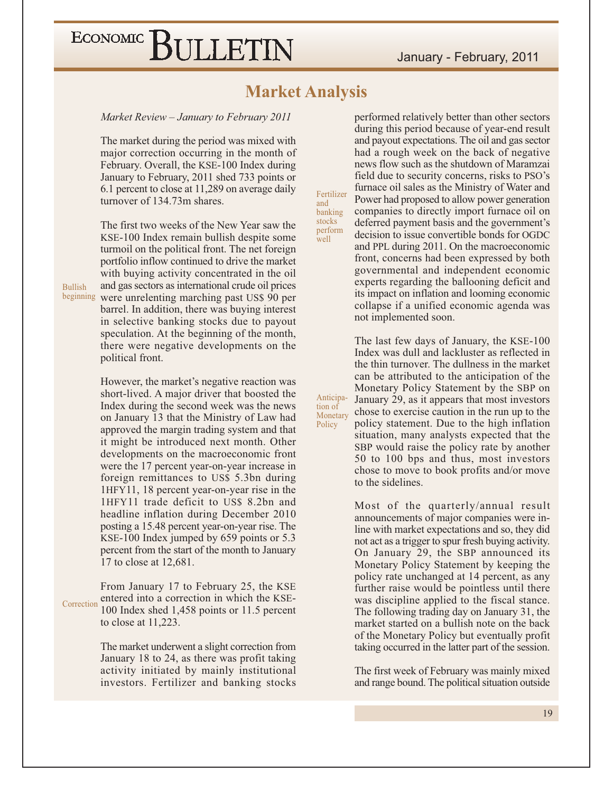### **Market Analysis**

Fertilizer

banking stocks

perform

Anticipa-

Monetary

tion of

Policy

well

and

Market Review – January to February 2011

The market during the period was mixed with major correction occurring in the month of February. Overall, the KSE-100 Index during January to February, 2011 shed 733 points or 6.1 percent to close at 11,289 on average daily turnover of 134.73m shares.

The first two weeks of the New Year saw the KSE-100 Index remain bullish despite some turmoil on the political front. The net foreign portfolio inflow continued to drive the market with buying activity concentrated in the oil and gas sectors as international crude oil prices beginning were unrelenting marching past US\$ 90 per barrel. In addition, there was buying interest in selective banking stocks due to payout speculation. At the beginning of the month, there were negative developments on the political front.

> However, the market's negative reaction was short-lived. A major driver that boosted the Index during the second week was the news on January 13 that the Ministry of Law had approved the margin trading system and that it might be introduced next month. Other developments on the macroeconomic front were the 17 percent year-on-year increase in foreign remittances to US\$ 5.3bn during 1HFY11, 18 percent year-on-year rise in the 1HFY11 trade deficit to US\$ 8.2bn and headline inflation during December 2010 posting a 15.48 percent year-on-year rise. The KSE-100 Index jumped by 659 points or 5.3 percent from the start of the month to January 17 to close at 12,681.

From January 17 to February 25, the KSE entered into a correction in which the KSE-Correction 100 Index shed 1,458 points or 11.5 percent to close at  $11,223$ .

> The market underwent a slight correction from January 18 to 24, as there was profit taking activity initiated by mainly institutional investors. Fertilizer and banking stocks

performed relatively better than other sectors during this period because of year-end result and payout expectations. The oil and gas sector had a rough week on the back of negative news flow such as the shutdown of Maramzai field due to security concerns, risks to PSO's furnace oil sales as the Ministry of Water and Power had proposed to allow power generation companies to directly import furnace oil on deferred payment basis and the government's decision to issue convertible bonds for OGDC and PPL during 2011. On the macroeconomic front, concerns had been expressed by both governmental and independent economic experts regarding the ballooning deficit and its impact on inflation and looming economic collapse if a unified economic agenda was not implemented soon.

The last few days of January, the KSE-100 Index was dull and lackluster as reflected in the thin turnover. The dullness in the market can be attributed to the anticipation of the Monetary Policy Statement by the SBP on January 29, as it appears that most investors chose to exercise caution in the run up to the policy statement. Due to the high inflation situation, many analysts expected that the SBP would raise the policy rate by another 50 to 100 bps and thus, most investors chose to move to book profits and/or move to the sidelines.

Most of the quarterly/annual result announcements of major companies were inline with market expectations and so, they did not act as a trigger to spur fresh buying activity. On January 29, the SBP announced its Monetary Policy Statement by keeping the policy rate unchanged at 14 percent, as any further raise would be pointless until there was discipline applied to the fiscal stance. The following trading day on January 31, the market started on a bullish note on the back of the Monetary Policy but eventually profit taking occurred in the latter part of the session.

The first week of February was mainly mixed and range bound. The political situation outside

**Bullish**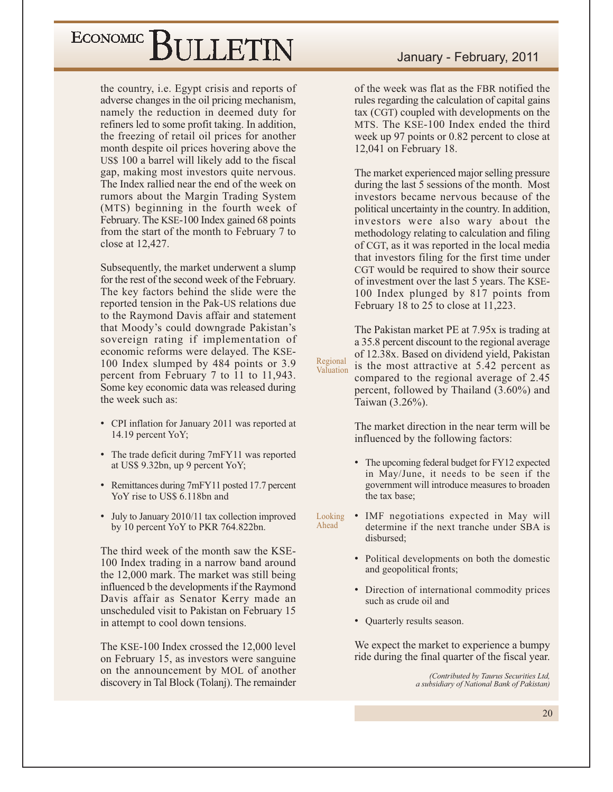the country, *i.e.* Egypt crisis and reports of adverse changes in the oil pricing mechanism, namely the reduction in deemed duty for refiners led to some profit taking. In addition, the freezing of retail oil prices for another month despite oil prices hovering above the US\$ 100 a barrel will likely add to the fiscal gap, making most investors quite nervous. The Index rallied near the end of the week on rumors about the Margin Trading System (MTS) beginning in the fourth week of February. The KSE-100 Index gained 68 points from the start of the month to February 7 to close at 12,427.

Subsequently, the market underwent a slump for the rest of the second week of the February. The key factors behind the slide were the reported tension in the Pak-US relations due to the Raymond Davis affair and statement that Moody's could downgrade Pakistan's sovereign rating if implementation of economic reforms were delayed. The KSE-100 Index slumped by 484 points or 3.9 percent from February 7 to 11 to 11,943. Some key economic data was released during the week such as:

- CPI inflation for January 2011 was reported at 14.19 percent YoY;
- The trade deficit during 7mFY11 was reported at US\$ 9.32bn, up 9 percent YoY;
- Remittances during 7mFY11 posted 17.7 percent YoY rise to US\$ 6.118bn and
- July to January 2010/11 tax collection improved by 10 percent YoY to PKR 764.822bn.

The third week of the month saw the KSE-100 Index trading in a narrow band around the 12,000 mark. The market was still being influenced b the developments if the Raymond Davis affair as Senator Kerry made an unscheduled visit to Pakistan on February 15 in attempt to cool down tensions.

The KSE-100 Index crossed the 12,000 level on February 15, as investors were sanguine on the announcement by MOL of another discovery in Tal Block (Tolanj). The remainder

of the week was flat as the FBR notified the rules regarding the calculation of capital gains tax (CGT) coupled with developments on the MTS. The KSE-100 Index ended the third week up 97 points or 0.82 percent to close at  $12,041$  on February 18.

The market experienced major selling pressure during the last 5 sessions of the month. Most investors became nervous because of the political uncertainty in the country. In addition, investors were also wary about the methodology relating to calculation and filing of CGT, as it was reported in the local media that investors filing for the first time under CGT would be required to show their source of investment over the last 5 years. The KSE-100 Index plunged by 817 points from February 18 to 25 to close at 11,223.

The Pakistan market PE at 7.95x is trading at a 35.8 percent discount to the regional average of 12.38x. Based on dividend yield, Pakistan Regional is the most attractive at 5.42 percent as Valuation compared to the regional average of 2.45 percent, followed by Thailand (3.60%) and Taiwan (3.26%).

> The market direction in the near term will be influenced by the following factors:

- The upcoming federal budget for FY12 expected in May/June, it needs to be seen if the government will introduce measures to broaden the tax base;
- Looking • IMF negotiations expected in May will Ahead determine if the next tranche under SBA is disbursed:
	- Political developments on both the domestic and geopolitical fronts;
	- Direction of international commodity prices such as crude oil and
	- Quarterly results season.

We expect the market to experience a bumpy ride during the final quarter of the fiscal year.

> (Contributed by Taurus Securities Ltd, a subsidiary of National Bank of Pakistan)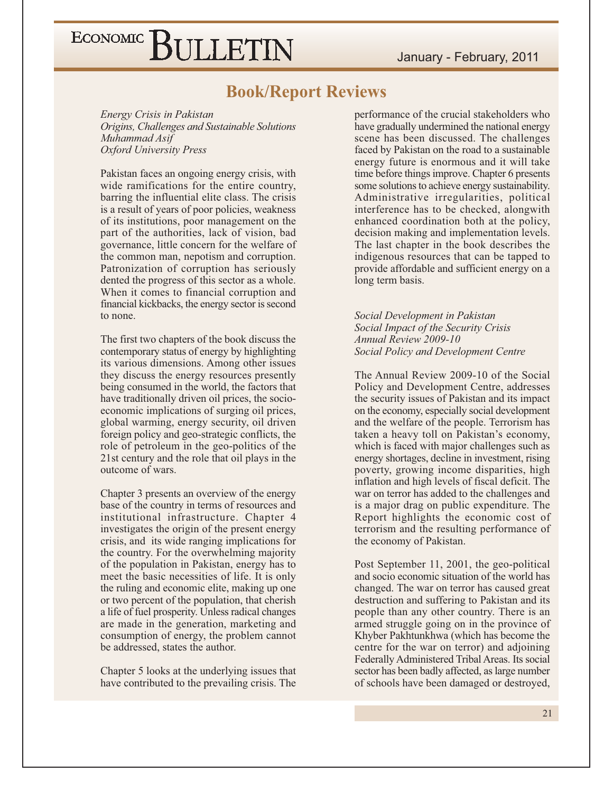### **Book/Report Reviews**

Energy Crisis in Pakistan Origins, Challenges and Sustainable Solutions Muhammad Asif **Oxford University Press** 

Pakistan faces an ongoing energy crisis, with wide ramifications for the entire country, barring the influential elite class. The crisis is a result of years of poor policies, weakness of its institutions, poor management on the part of the authorities, lack of vision, bad governance, little concern for the welfare of the common man, nepotism and corruption. Patronization of corruption has seriously dented the progress of this sector as a whole. When it comes to financial corruption and financial kickbacks, the energy sector is second to none.

The first two chapters of the book discuss the contemporary status of energy by highlighting its various dimensions. Among other issues they discuss the energy resources presently being consumed in the world, the factors that have traditionally driven oil prices, the socioeconomic implications of surging oil prices, global warming, energy security, oil driven foreign policy and geo-strategic conflicts, the role of petroleum in the geo-politics of the 21st century and the role that oil plays in the outcome of wars.

Chapter 3 presents an overview of the energy base of the country in terms of resources and institutional infrastructure. Chapter 4 investigates the origin of the present energy crisis, and its wide ranging implications for the country. For the overwhelming majority of the population in Pakistan, energy has to meet the basic necessities of life. It is only the ruling and economic elite, making up one or two percent of the population, that cherish a life of fuel prosperity. Unless radical changes are made in the generation, marketing and consumption of energy, the problem cannot be addressed, states the author.

Chapter 5 looks at the underlying issues that have contributed to the prevailing crisis. The

performance of the crucial stakeholders who have gradually undermined the national energy scene has been discussed. The challenges faced by Pakistan on the road to a sustainable energy future is enormous and it will take time before things improve. Chapter 6 presents some solutions to achieve energy sustainability. Administrative irregularities, political interference has to be checked, alongwith enhanced coordination both at the policy, decision making and implementation levels. The last chapter in the book describes the indigenous resources that can be tapped to provide affordable and sufficient energy on a long term basis.

Social Development in Pakistan Social Impact of the Security Crisis Annual Review 2009-10 Social Policy and Development Centre

The Annual Review 2009-10 of the Social Policy and Development Centre, addresses the security issues of Pakistan and its impact on the economy, especially social development and the welfare of the people. Terrorism has taken a heavy toll on Pakistan's economy, which is faced with major challenges such as energy shortages, decline in investment, rising poverty, growing income disparities, high inflation and high levels of fiscal deficit. The war on terror has added to the challenges and is a major drag on public expenditure. The Report highlights the economic cost of terrorism and the resulting performance of the economy of Pakistan.

Post September 11, 2001, the geo-political and socio economic situation of the world has changed. The war on terror has caused great destruction and suffering to Pakistan and its people than any other country. There is an armed struggle going on in the province of Khyber Pakhtunkhwa (which has become the centre for the war on terror) and adjoining Federally Administered Tribal Areas. Its social sector has been badly affected, as large number of schools have been damaged or destroyed,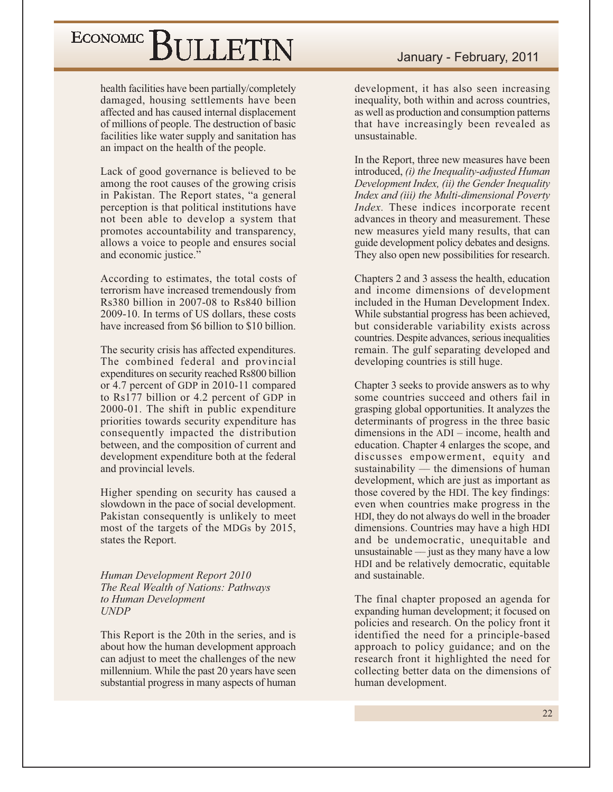health facilities have been partially/completely damaged, housing settlements have been affected and has caused internal displacement of millions of people. The destruction of basic facilities like water supply and sanitation has an impact on the health of the people.

Lack of good governance is believed to be among the root causes of the growing crisis in Pakistan. The Report states, "a general perception is that political institutions have not been able to develop a system that promotes accountability and transparency, allows a voice to people and ensures social and economic justice."

According to estimates, the total costs of terrorism have increased tremendously from Rs380 billion in 2007-08 to Rs840 billion 2009-10. In terms of US dollars, these costs have increased from \$6 billion to \$10 billion.

The security crisis has affected expenditures. The combined federal and provincial expenditures on security reached Rs800 billion or 4.7 percent of GDP in 2010-11 compared to Rs177 billion or 4.2 percent of GDP in 2000-01. The shift in public expenditure priorities towards security expenditure has consequently impacted the distribution between, and the composition of current and development expenditure both at the federal and provincial levels.

Higher spending on security has caused a slowdown in the pace of social development. Pakistan consequently is unlikely to meet most of the targets of the MDGs by 2015, states the Report.

Human Development Report 2010 The Real Wealth of Nations: Pathways to Human Development **UNDP** 

This Report is the 20th in the series, and is about how the human development approach can adjust to meet the challenges of the new millennium. While the past 20 years have seen substantial progress in many aspects of human development, it has also seen increasing inequality, both within and across countries. as well as production and consumption patterns that have increasingly been revealed as unsustainable.

In the Report, three new measures have been introduced, (i) the Inequality-adjusted Human Development Index, (ii) the Gender Inequality Index and (iii) the Multi-dimensional Poverty *Index*. These indices incorporate recent advances in theory and measurement. These new measures yield many results, that can guide development policy debates and designs. They also open new possibilities for research.

Chapters 2 and 3 assess the health, education and income dimensions of development included in the Human Development Index. While substantial progress has been achieved, but considerable variability exists across countries. Despite advances, serious inequalities remain. The gulf separating developed and developing countries is still huge.

Chapter 3 seeks to provide answers as to why some countries succeed and others fail in grasping global opportunities. It analyzes the determinants of progress in the three basic dimensions in the  $ADI$  – income, health and education. Chapter 4 enlarges the scope, and discusses empowerment, equity and sustainability  $-$  the dimensions of human development, which are just as important as those covered by the HDI. The key findings: even when countries make progress in the HDI, they do not always do well in the broader dimensions. Countries may have a high HDI and be undemocratic, unequitable and unsustainable  $-$  just as they many have a low HDI and be relatively democratic, equitable and sustainable.

The final chapter proposed an agenda for expanding human development; it focused on policies and research. On the policy front it identified the need for a principle-based approach to policy guidance; and on the research front it highlighted the need for collecting better data on the dimensions of human development.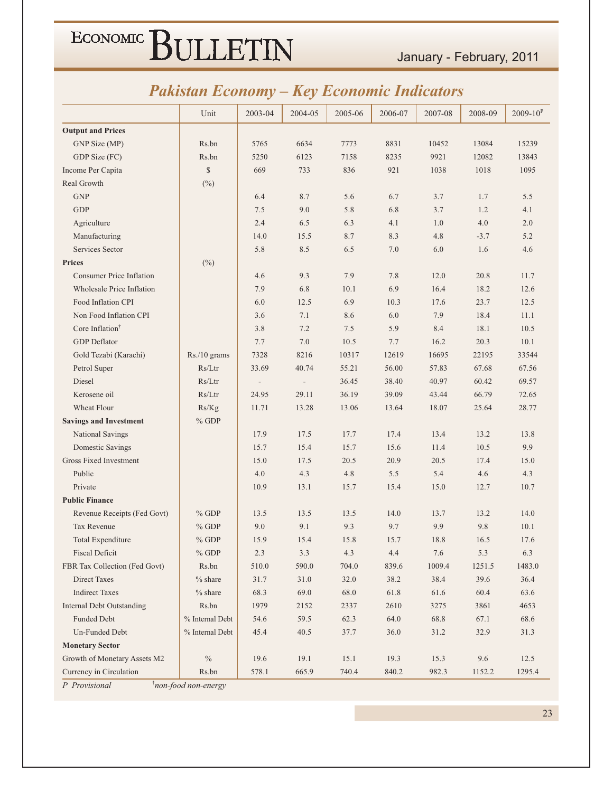January - February, 2011

### **Pakistan Economy - Key Economic Indicators**

|                                                                 | Unit            | 2003-04 | 2004-05 | 2005-06 | 2006-07 | 2007-08 | 2008-09 | $2009 - 10^{P}$ |
|-----------------------------------------------------------------|-----------------|---------|---------|---------|---------|---------|---------|-----------------|
| <b>Output and Prices</b>                                        |                 |         |         |         |         |         |         |                 |
| GNP Size (MP)                                                   | Rs.bn           | 5765    | 6634    | 7773    | 8831    | 10452   | 13084   | 15239           |
| GDP Size (FC)                                                   | Rs.bn           | 5250    | 6123    | 7158    | 8235    | 9921    | 12082   | 13843           |
| Income Per Capita                                               | $\mathbb{S}$    | 669     | 733     | 836     | 921     | 1038    | 1018    | 1095            |
| Real Growth                                                     | $(\%)$          |         |         |         |         |         |         |                 |
| <b>GNP</b>                                                      |                 | 6.4     | 8.7     | 5.6     | 6.7     | 3.7     | 1.7     | 5.5             |
| <b>GDP</b>                                                      |                 | 7.5     | 9.0     | 5.8     | 6.8     | 3.7     | 1.2     | 4.1             |
| Agriculture                                                     |                 | 2.4     | 6.5     | 6.3     | 4.1     | 1.0     | 4.0     | 2.0             |
| Manufacturing                                                   |                 | 14.0    | 15.5    | 8.7     | 8.3     | 4.8     | $-3.7$  | 5.2             |
| Services Sector                                                 |                 | 5.8     | 8.5     | 6.5     | 7.0     | 6.0     | 1.6     | 4.6             |
| <b>Prices</b>                                                   | $(\%)$          |         |         |         |         |         |         |                 |
| <b>Consumer Price Inflation</b>                                 |                 | 4.6     | 9.3     | 7.9     | 7.8     | 12.0    | 20.8    | 11.7            |
| <b>Wholesale Price Inflation</b>                                |                 | 7.9     | 6.8     | 10.1    | 6.9     | 16.4    | 18.2    | 12.6            |
| Food Inflation CPI                                              |                 | 6.0     | 12.5    | 6.9     | 10.3    | 17.6    | 23.7    | 12.5            |
| Non Food Inflation CPI                                          |                 | 3.6     | 7.1     | 8.6     | 6.0     | 7.9     | 18.4    | 11.1            |
| Core Inflation <sup>†</sup>                                     |                 | 3.8     | 7.2     | 7.5     | 5.9     | 8.4     | 18.1    | 10.5            |
| <b>GDP</b> Deflator                                             |                 | 7.7     | 7.0     | 10.5    | 7.7     | 16.2    | 20.3    | 10.1            |
| Gold Tezabi (Karachi)                                           | Rs./10 grams    | 7328    | 8216    | 10317   | 12619   | 16695   | 22195   | 33544           |
| Petrol Super                                                    | Rs/Ltr          | 33.69   | 40.74   | 55.21   | 56.00   | 57.83   | 67.68   | 67.56           |
| Diesel                                                          | Rs/Ltr          |         |         | 36.45   | 38.40   | 40.97   | 60.42   | 69.57           |
| Kerosene oil                                                    | Rs/Ltr          | 24.95   | 29.11   | 36.19   | 39.09   | 43.44   | 66.79   | 72.65           |
| Wheat Flour                                                     | Rs/Kg           | 11.71   | 13.28   | 13.06   | 13.64   | 18.07   | 25.64   | 28.77           |
| <b>Savings and Investment</b>                                   | $%$ GDP         |         |         |         |         |         |         |                 |
| National Savings                                                |                 | 17.9    | 17.5    | 17.7    | 17.4    | 13.4    | 13.2    | 13.8            |
| Domestic Savings                                                |                 | 15.7    | 15.4    | 15.7    | 15.6    | 11.4    | 10.5    | 9.9             |
| <b>Gross Fixed Investment</b>                                   |                 | 15.0    | 17.5    | 20.5    | 20.9    | 20.5    | 17.4    | 15.0            |
| Public                                                          |                 | 4.0     | 4.3     | 4.8     | 5.5     | 5.4     | 4.6     | 4.3             |
| Private                                                         |                 | 10.9    | 13.1    | 15.7    | 15.4    | 15.0    | 12.7    | 10.7            |
| <b>Public Finance</b>                                           |                 |         |         |         |         |         |         |                 |
| Revenue Receipts (Fed Govt)                                     | $%$ GDP         | 13.5    | 13.5    | 13.5    | 14.0    | 13.7    | 13.2    | 14.0            |
| Tax Revenue                                                     | $%$ GDP         | 9.0     | 9.1     | 9.3     | 9.7     | 9.9     | 9.8     | 10.1            |
| <b>Total Expenditure</b>                                        | $%$ GDP         | 15.9    | 15.4    | 15.8    | 15.7    | 18.8    | 16.5    | 17.6            |
| <b>Fiscal Deficit</b>                                           | $%$ GDP         | 2.3     | 3.3     | 4.3     | 4.4     | 7.6     | 5.3     | 6.3             |
| FBR Tax Collection (Fed Govt)                                   | Rs.bn           | 510.0   | 590.0   | 704.0   | 839.6   | 1009.4  | 1251.5  | 1483.0          |
| <b>Direct Taxes</b>                                             | $%$ share       | 31.7    | 31.0    | 32.0    | 38.2    | 38.4    | 39.6    | 36.4            |
| <b>Indirect Taxes</b>                                           | $%$ share       | 68.3    | 69.0    | 68.0    | 61.8    | 61.6    | 60.4    | 63.6            |
| <b>Internal Debt Outstanding</b>                                | Rs.bn           | 1979    | 2152    | 2337    | 2610    | 3275    | 3861    | 4653            |
| Funded Debt                                                     | % Internal Debt | 54.6    | 59.5    | 62.3    | 64.0    | 68.8    | 67.1    | 68.6            |
| Un-Funded Debt                                                  | % Internal Debt | 45.4    | 40.5    | 37.7    | 36.0    | 31.2    | 32.9    | 31.3            |
| <b>Monetary Sector</b>                                          |                 |         |         |         |         |         |         |                 |
| Growth of Monetary Assets M2                                    | $\%$            | 19.6    | 19.1    | 15.1    | 19.3    | 15.3    | $9.6\,$ | 12.5            |
| Currency in Circulation                                         | Rs.bn           | 578.1   | 665.9   | 740.4   | 840.2   | 982.3   | 1152.2  | 1295.4          |
| $\frac{1}{2}$ non food non<br>$D$ <i>D<sub>ropiniqual</sub></i> |                 |         |         |         |         |         |         |                 |

Provisional

non-food non-energy